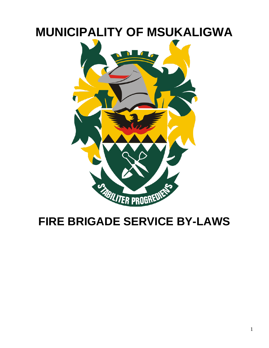# **MUNICIPALITY OF MSUKALIGWA**



## **FIRE BRIGADE SERVICE BY-LAWS**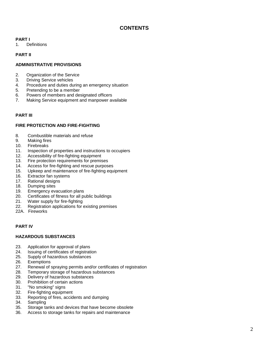## **CONTENTS**

## **PART I**

1. Definitions

## **PART II**

## **ADMINISTRATIVE PROVISIONS**

- 2. Organization of the Service
- 3. Driving Service vehicles
- 4. Procedure and duties during an emergency situation
- 5. Pretending to be a member
- 6. Powers of members and designated officers
- 7. Making Service equipment and manpower available

## **PART III**

## **FIRE PROTECTION AND FIRE -FIGHTING**

- 8. Combustible materials and refuse
- 9. Making fires
- 10. Firebreaks
- 11. Inspection of properties and instructions to occupiers
- 12. Accessibility of fire -fighting equipment
- 13. Fire protection requirements for premises
- 14. Access for fire -fighting and rescue purposes
- 15. Upkeep and maintenance of fire -fighting equipment
- 16. Extractor fan systems
- 17. Rational designs
- 18. Dumping sites
- 19. Emergency evacuation plans
- 20. Certificates of fitness for all public buildings
- 21. Water supply for fire -fighting
- 22. Registration applications for existing premises
- 22A. Fireworks

## **PART IV**

## **HAZARDOUS SUBSTANCES**

- 23. Application for approval of plans
- 24. Issuing of certificates of registration
- 25. Supply of hazardous substances
- 26. Exemptions
- 27. Renewal of spraying permits and/or certificates of registration
- 28. Temporary storage of hazardous substances
- 29. Delivery of hazardous substances
- 30. Prohibition of certain actions
- 31. "No smoking" signs
- 32. Fire -fighting equipment
- 33. Reporting of fires, accidents and dumping
- 34. Sampling
- 35. Storage tanks and devices that have become obsolete
- 36. Access to storage tanks for repairs and maintenance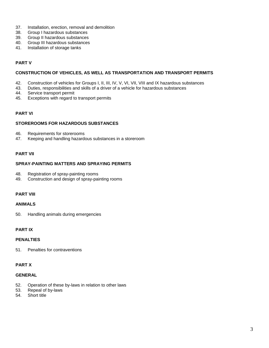- 37. Installation, erection, removal and demolition
- 38. Group I hazardous substances
- 39. Group II hazardous substances
- 40. Group III hazardous substances
- 41. Installation of storage tanks

## **PART V**

#### **CONSTRUCTION OF VEHICLES, AS WELL AS TRANSPORTATION AND TRANSPORT PERMITS**

- 42. Construction of vehicles for Groups I, II, III, IV, V, VI, VII, VIII and IX hazardous substances
- 43. Duties, responsibilities and skills of a driver of a vehicle for hazardous substances
- 44. Service transport permit
- 45. Exceptions with regard to transport permits

## **PART VI**

#### **STOREROOMS FOR HAZARDOUS SUBSTANCES**

- 46. Requirements for storerooms
- 47. Keeping and handling hazardous substances in a storeroom

## **PART VII**

#### **SPRAY-PAINTING MATTERS AND SPRAYING PERMITS**

- 48. Registration of spray-painting rooms
- 49. Construction and design of spray-painting rooms

## **PART VIII**

#### **ANIMALS**

50. Handling animals during emergencies

## **PART IX**

#### **PENALTIES**

51. Penalties for contraventions

#### **PART X**

#### **GENERAL**

- 52. Operation of these by-laws in relation to other laws
- 53. Repeal of by-laws
- 54. Short title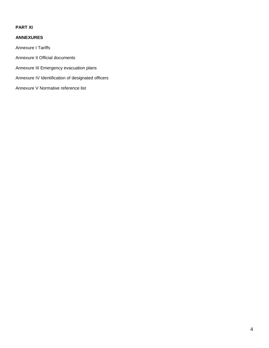## **PART XI**

## **ANNEXURES**

Annexure I Tariffs

Annexure II Official documents

Annexure III Emergency evacuation plans

Annexure IV Identification of designated officers

Annexure V Normative reference list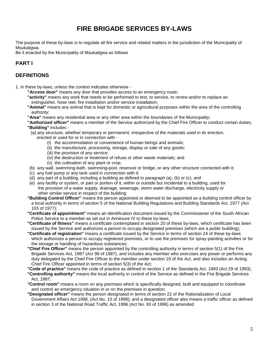## **FIRE BRIGADE SERVICES BY-LAWS**

The purpose of these by-laws is to regulate all fire service and related matters in the jurisdiction of the Municipality of Msukaligwa.

Be it enacted by the Municipality of Msukaligwa as follows

## **PART I**

## **DEFINITIONS**

1. In these by-laws, unless the context indicates otherwise -

- **"Access door"** means any door that provides access to an emergency route;
- **"activity"** means any work that needs to be performed to test, to service, to renew and/or to replace an extinguisher, hose reel, fire installation and/or service installation;
- **"Animal"** means any animal that is kept for domestic or agricultural purposes within the area of the controlling authority;
- **"Area"** means any residential area or any other area within the boundaries of the Municipality;
- **"Authorized officer"** means a member of the Service authorized by the Chief Fire Officer to conduct certain duties; **"Building"** includes -
- (a) any structure, whether temporary or permanent, irrespective of the materials used in its erection,
	- erected or used for or in connection with
		- (i) the accommodation or convenience of human beings and animals;
		- (ii) the manufacture, processing, storage, display or sale of any goods;
		- (iii) the provision of any service;
		- (iv) the destruction or treatment of refuse or other waste materials; and
		- (v) the cultivation of any plant or crop;
- (b) any wall, swimming-bath, swimming-pool, reservoir or bridge, or any other structure connected with it;
- (c) any fuel pump or any tank used in connection with it;
- (d) any part of a building, including a building as defined in paragraph (a), (b) or (c); and
- (e) any facility or system, or part or portion of it, within or outside but incidental to a building, used for the provision of a water supply, drainage, sewerage, storm water discharge, electricity supply or other similar service in respect of the building;
- **"Building Control Officer"** means the person appointed or deemed to be appointed as a building control officer by a local authority in terms of section 5 of the National Building Regulations and Building Standards Act, 1977 (Act 103 of 1977);
- **"Certificate of appointment"** means an identification document issued by the Commissioner of the South African Police Service to a member as set out in Annexure IV to these by-laws;
- **"Certificate of fitness"** means a certificate contemplated in section 20 of these by-laws, which certificate has been issued by the Service and authorizes a person to occupy designated premises (which are a public building);
- **"Certificate of registration"** means a certificate issued by the Service in terms of section 24 of these by-laws which authorizes a person to occupy registered premises, or to use the premises for spray-painting activities or for the storage or handling of hazardous substances;
- **"Chief Fire Officer"** means the person appointed by the controlling authority in terms of section 5(1) of the Fire Brigade Services Act, 1987 (Act 99 of 1987), and includes any member who exercises any power or performs any duty delegated by the Chief Fire Officer to the member under section 19 of the Act, and also includes an Acting Chief Fire Officer appointed in terms of section 5(3) of the Act;
- **"Code of practice"** means the code of practice as defined in section 1 of the Standards Act, 1993 (Act 29 of 1993);
- **"Controlling authority"** means the local authority in control of the Service as defined in the Fire Brigade Services Act, 1987;
- **"Control room"** means a room on any premises which is specifically designed, built and equipped to coordinate and control an emergency situation in or on the premises in question;
- **"Designated officer"** means the person designated in terms of section 22 of the Rationalization of Local Government Affairs Act 1998, (Act No. 10 of 1998); and a designated officer also means a traffic officer as defined in section 3 of the National Road Traffic Act, 1996 (Act No. 93 of 1996) as amended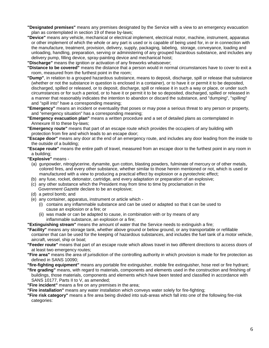- **"Designated premises"** means any premises designated by the Service with a view to an emergency evacuation plan as contemplated in section 19 of these by-laws;
- **"Device"** means any vehicle, mechanical or electrical implement, electrical motor, machine, instrument, apparatus or other implement of which the whole or any part is used or is capable of being used for, in or in connection with the manufacture, treatment, provision, delivery, supply, packaging, labeling, storage, conveyance, loading and unloading, handling, preparation, serving or administering of any grouped hazardous substance, and includes any delivery pump, filling device, spray-painting device and mechanical hoist;
- **"Discharge"** means the ignition or activation of any fireworks whatsoever;
- **"Distance to be covered"** means the distance that a person would in normal circumstances have to cover to exit a room, measured from the furthest point in the room;
- **"Dump"**, in relation to a grouped hazardous substance, means to deposit, discharge, spill or release that substance (whether or not the substance in question is enclosed in a container), or to have it or permit it to be deposited, discharged, spilled or released, or to deposit, discharge, spill or release it in such a way or place, or under such circumstances or for such a period, or to have it or permit it to be so deposited, discharged, spilled or released in a manner that reasonably indicates the intention to abandon or discard the substance, and "dumping", "spilling" and "spill into" have a corresponding meaning;
- **"Emergency"** means an incident or eventuality that poses or may pose a serious threat to any person or property, and "emergency situation" has a corresponding meaning;
- **"Emergency evacuation plan"** means a written procedure and a set of detailed plans as contemplated in Annexure III to these by-laws;
- **"Emergency route"** means that part of an escape route which provides the occupiers of any building with protection from fire and which leads to an escape door;
- **"Escape door"** means any door at the end of an emergency route, and includes any door leading from the inside to the outside of a building;
- **"Escape route"** means the entire path of travel, measured from an escape door to the furthest point in any room in a building;
- **"Explosive"** means
	- (a) gunpowder, nitroglycerine, dynamite, gun cotton, blasting powders, fulminate of mercury or of other metals, colored fires, and every other substance, whether similar to those herein mentioned or not, which is used or manufactured with a view to producing a practical effect by explosion or a pyrotechnic effect;
	- (b) any fuse, rocket, detonator, cartridge, and every adaptation or preparation of an explosive;
	- (c) any other substance which the President may from time to time by proclamation in the Go*vernment Gazette* declare to be an explosive;
	- (d) a petrol bomb; and
	- (e) any container, apparatus, instrument or article which
		- (i) contains any inflammable substance and can be used or adapted so that it can be used to cause an explosion or a fire; or
		- (ii) was made or can be adapted to cause, in combination with or by means of any inflammable substance, an explosion or a fire;

**"Extinguishing stream"** means the amount of water that the Service needs to extinguish a fire;

- **"Facility"** means any storage tank, whether above ground or below ground, or any transportable or refillable container that can be used for the keeping of hazardous substances, and includes the fuel tank of a motor vehicle, aircraft, vessel, ship or boat;
- **"Feeder route"** means that part of an escape route which allows travel in two different directions to access doors of at least two emergency routes;
- **"Fire area"** means the area of jurisdiction of the controlling authority in which provision is made for fire protection as defined in SANS 10090;
- **"fire-fighting equipment"** means any portable fire extinguisher, mobile fire extinguisher, hose reel or fire hydrant;
- **"fire grading"** means, with regard to materials, components and elements used in the construction and finishing of buildings, those materials, components and elements which have been tested and classified in accordance with SANS 10177, Parts II to V, as amended;
- **"Fire incident"** means a fire on any premises in the area;
- **"Fire installation"** means any water installation which conveys water solely for fire-fighting;
- **"Fire risk category"** means a fire area being divided into sub-areas which fall into one of the following fire-risk categories: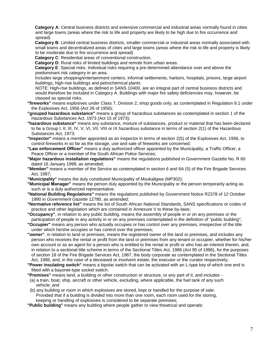**Category A**: Central business districts and extensive commercial and industrial areas normally found in cities and large towns (areas where the risk to life and property are likely to be high due to fire occurrence and spread).

 **Category B**: Limited central business districts, smaller commercial or industrial areas normally associated with small towns and decentralized areas of cities and large towns (areas where the risk to life and property is likely to be moderate due to fire occurrence and spread).

 **Category C**: Residential areas of conventional construction.

 **Category D**: Rural risks of limited buildings and remote from urban areas.

 **Category E**: Special risks. Individual risks requiring a pre-determined attendance over and above the predominant risk category in an area.

Includes large shopping/entertainment centers, informal settlements, harbors, hospitals, prisons, large airport buildings, high-rise buildings and petrochemical plants

NOTE: High-rise buildings, as defined in SANS 10400, are an integral part of central business districts and would therefore be included in Category A. Buildings with major fire safety deficiencies may, however, be classed as special risks.

- **"fireworks"** means explosives under Class 7, Division 2, shop goods only, as contemplated in Regulation 9.1 under the Explosives Act, 1956 (Act 26 of 1956);
- **"grouped hazardous substance"** means a group of hazardous substances as contemplated in section 1 of the Hazardous Substances Act, 1973 (Act 15 of 1973);
- **"hazardous substance"** means any substance, mixture of substances, product or material that has been declared to be a Group I, II, III, IV, V, VI, VII, VIII or IX hazardous substance in terms of section 2(1) of the Hazardous Substances Act, 1973;
- **"Inspector"** means a member appointed as an inspector in terms of section 2(5) of the Explosives Act, 1956, to control fireworks in so far as the storage, use and sale of fireworks are concerned;
- **"Law enforcement Officer"** means a duly authorized officer appointed by the Municipality, a Traffic Officer, a Peace Officer or a member of the South African Police Services;
- **"Major hazardous installation regulations"** means the regulations published in Government Gazette No. R 60 dated 16 January 1998, as amended;
- **"Member"** means a member of the Service as contemplated in section 6 and 6A (5) of the Fire Brigade Services Act, 1987;
- **"Municipality"** means the duly constituted Municipality of Msukaligwa (MP302);
- **"Municipal Manager"** means the person duly appointed by the Municipality or the person temporarily acting as such or is a duly authorized representative.
- **"National Building Regulations"** means the regulations published by Government Notice R2378 of 12 October 1990 in *Government Gazette* 12780, as amended;

**"Normative reference list"** means the list of South African National Standards, SANS specifications or codes of practice and other legislation which are contained in Annexure V to these by-laws;

**"Occupancy"**, in relation to any public building, means the assembly of people in or on any premises or the participation of people in any activity in or on any premises contemplated in the definition of "public building";

**"Occupier"** means any person who actually occupies or has control over any premises, irrespective of the title under which he/she occupies or has control over the premises;

- **"owner"**, in relation to land or premises, means the registered owner of the land or premises, and includes any person who receives the rental or profit from the land or premises from any tenant or occupier, whether for his/her own account or as an agent for a person who is entitled to the rental or profit or who has an interest therein, and, in relation to a sectional title scheme in terms of the Sectional Titles Act, 1986 (Act 95 of 1986), for the purposes of section 18 of the Fire Brigade Services Act, 1987, the body corporate as contemplated in the Sectional Titles Act, 1986, and, in the case of a deceased or insolvent estate, the executor or the curator respectively;
- **"Power insulating switch"** means a bipolar switch that can be activated with an L-type key of which one end is fitted with a bayonet-type socket switch;
- **"Premises"** means land, a building or other construction or structure, or any part of it, and includes -
- (a) a train, boat, ship, aircraft or other vehicle, excluding, where applicable, the fuel tank of any such vehicle; and
- (b) any building or room in which explosives are stored, kept or handled for the purpose of sale: Provided that if a building is divided into more than one room, each room used for the storing, keeping or handling of explosives is considered to be separate premises;
- **"Public building"** means any building where people gather to view theatrical and operatic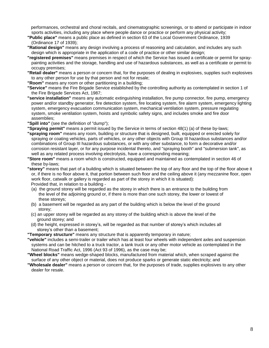performances, orchestral and choral recitals, and cinematographic screenings, or to attend or participate in indoor sports activities, including any place where people dance or practice or perform any physical activity;

- **"Public place"** means a public place as defined in section 63 of the Local Government Ordinance, 1939 (Ordinance 17 of 1939);
- **"Rational design"** means any design involving a process of reasoning and calculation, and includes any such design which is appropriate in the application of a code of practice or other similar design;
- **"registered premises"** means premises in respect of which the Service has issued a certificate or permit for spraypainting activities and the storage, handling and use of hazardous substances, as well as a certificate or permit to occupy premises;
- **"Retail dealer"** means a person or concern that, for the purposes of dealing in explosives, supplies such explosives to any other person for use by that person and not for resale;
- **"Room"** means any room or other partitioning in a building;
- **"Service"** means the Fire Brigade Service established by the controlling authority as contemplated in section 1 of the Fire Brigade Services Act, 1987;
- **"service installation"** means any automatic extinguishing installation, fire pump connector, fire pump, emergency power and/or standby generator, fire detection system, fire locating system, fire alarm system, emergency lighting system, emergency evacuation communication system, mechanical ventilation system, pressure regulating system, smoke ventilation system, hoists and symbolic safety signs, and includes smoke and fire door assemblies;
- **"Spill into"** (see the definition of "dump");
- **"Spraying permit"** means a permit issued by the Service in terms of section 48(1) (a) of these by-laws;
- **"spraying room"** means any room, building or structure that is designed, built, equipped or erected solely for spraying or coating vehicles, parts of vehicles, or any other objects with Group III hazardous substances and/or combinations of Group III hazardous substances, or with any other substance, to form a decorative and/or corrosion resistant layer, or for any purpose incidental thereto, and "spraying booth" and "submersion tank", as well as any related process involving electrolysis, have a corresponding meaning;
- **"Store room"** means a room which is constructed, equipped and maintained as contemplated in section 46 of these by-laws;
- **"storey"** means that part of a building which is situated between the top of any floor and the top of the floor above it or, if there is no floor above it, that portion between such floor and the ceiling above it (any mezzanine floor, open work floor, catwalk or gallery is regarded as part of the storey in which it is situated): Provided that, in relation to a building -
	- (a) the ground storey will be regarded as the storey in which there is an entrance to the building from the level of the adjoining ground or, if there is more than one such storey, the lower or lowest of these storeys;
	- (b) a basement will be regarded as any part of the building which is below the level of the ground storey;
	- (c) an upper storey will be regarded as any storey of the building which is above the level of the ground storey; and
- (d) the height, expressed in storey's, will be regarded as that number of storey's which includes all storey's other than a basement;
- **"Temporary structure"** means any structure that is apparently temporary in nature;
- **"vehicle"** includes a semi-trailer or trailer which has at least four wheels with independent axles and suspension systems and can be hitched to a truck tractor, a tank truck or any other motor vehicle as contemplated in the National Road Traffic Act, 1996 (Act 93 of 1996), as the case may be;
- **"Wheel blocks"** means wedge-shaped blocks, manufactured from material which, when scraped against the surface of any other object or material, does not produce sparks or generate static electricity; and
- **"Wholesale dealer"** means a person or concern that, for the purposes of trade, supplies explosives to any other dealer for resale.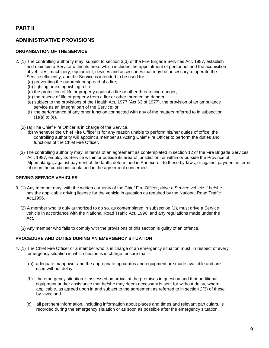## **ADMINISTRATIVE PROVISIONS**

## **ORGANISATION OF THE SERVICE**

- 2. (1) The controlling authority may, subject to section 3(3) of the Fire Brigade Services Act, 1987, establish and maintain a Service within its area, which includes the appointment of personnel and the acquisition of vehicles, machinery, equipment, devices and accessories that may be necessary to operate the Service efficiently, and the Service is intended to be used for –
	- (a) preventing the outbreak or spread of a fire;
	- (b) fighting or extinguishing a fire;
	- (c) the protection of life or property against a fire or other threatening danger;
	- (d) the rescue of life or property from a fire or other threatening danger;
	- (e) subject to the provisions of the Health Act, 1977 (Act 63 of 1977), the provision of an ambulance service as an integral part of the Service; or
	- (f) the performance of any other function connected with any of the matters referred to in subsection  $(1)(a)$  to  $(e)$ .
	- (2) (a) The Chief Fire Officer is in charge of the Service.
		- (b) Whenever the Chief Fire Officer is for any reason unable to perform his/her duties of office, the controlling authority will appoint a member as Acting Chief Fire Officer to perform the duties and functions of the Chief Fire Officer.
	- (3) The controlling authority may, in terms of an agreement as contemplated in section 12 of the Fire Brigade Services Act, 1987, employ its Service within or outside its area of jurisdiction, or within or outside the Province of Mpumalanga, against payment of the tariffs determined in Annexure I to these by-laws, or against payment in terms of or on the conditions contained in the agreement concerned.

## **DRIVING SERVICE VEHICLES**

- 3. (1) Any member may, with the written authority of the Chief Fire Officer, drive a Service vehicle if he/she has the applicable driving license for the vehicle in question as required by the National Road Traffic Act,1996.
	- (2) A member who is duly authorized to do so, as contemplated in subsection (1), must drive a Service vehicle in accordance with the National Road Traffic Act, 1996, and any regulations made under the Act.
	- (3) Any member who fails to comply with the provisions of this section is guilty of an offence.

## **PROCEDURE AND DUTIES DURING AN EMERGENCY SITUATION**

- 4. (1) The Chief Fire Officer or a member who is in charge of an emergency situation must, in respect of every emergency situation in which he/she is in charge, ensure that –
	- (a) adequate manpower and the appropriate apparatus and equipment are made available and are used without delay;
	- (b) the emergency situation is assessed on arrival at the premises in question and that additional equipment and/or assistance that he/she may deem necessary is sent for without delay, where applicable, as agreed upon in and subject to the agreement as referred to in section 2(3) of these by-laws; and
	- (c) all pertinent information, including information about places and times and relevant particulars, is recorded during the emergency situation or as soon as possible after the emergency situation,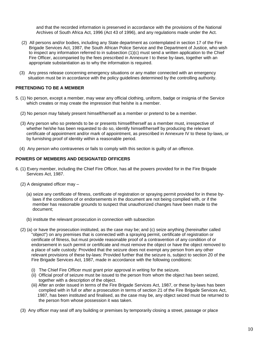and that the recorded information is preserved in accordance with the provisions of the National Archives of South Africa Act, 1996 (Act 43 of 1996), and any regulations made under the Act.

- (2) All persons and/or bodies, including any State department as contemplated in section 17 of the Fire Brigade Services Act, 1987, the South African Police Service and the Department of Justice, who wish to inspect any information referred to in subsection (1)(c) must send a written application to the Chief Fire Officer, accompanied by the fees prescribed in Annexure I to these by-laws, together with an appropriate substantiation as to why the information is required.
- (3) Any press release concerning emergency situations or any matter connected with an emergency situation must be in accordance with the policy guidelines determined by the controlling authority.

## **PRETENDING TO BE A MEMBER**

- 5. (1) No person, except a member, may wear any official clothing, uniform, badge or insignia of the Service which creates or may create the impression that he/she is a member.
	- (2) No person may falsely present himself/herself as a member or pretend to be a member.
	- (3) Any person who so pretends to be or presents himself/herself as a member must, irrespective of whether he/she has been requested to do so, identify himself/herself by producing the relevant certificate of appointment and/or mark of appointment, as prescribed in Annexure IV to these by-laws, or by furnishing proof of identity within a reasonable period.
	- (4) Any person who contravenes or fails to comply with this section is guilty of an offence.

#### **POWERS OF MEMBERS AND DESIGNATED OFFICERS**

- 6. (1) Every member, including the Chief Fire Officer, has all the powers provided for in the Fire Brigade Services Act, 1987.
	- (2) A designated officer may
		- (a) seize any certificate of fitness, certificate of registration or spraying permit provided for in these by laws if the conditions of or endorsements in the document are not being complied with, or if the member has reasonable grounds to suspect that unauthorized changes have been made to the document;
		- (b) institute the relevant prosecution in connection with subsection
	- (2) (a) or have the prosecution instituted, as the case may be; and (c) seize anything (hereinafter called "object") on any premises that is connected with a spraying permit, certificate of registration or certificate of fitness, but must provide reasonable proof of a contravention of any condition of or endorsement in such permit or certificate and must remove the object or have the object removed to a place of safe custody: Provided that the seizure does not exempt any person from any other relevant provisions of these by-laws: Provided further that the seizure is, subject to section 20 of the Fire Brigade Services Act, 1987, made in accordance with the following conditions:
		- (i) The Chief Fire Officer must grant prior approval in writing for the seizure.
		- (ii) Official proof of seizure must be issued to the person from whom the object has been seized, together with a description of the object.
		- (iii) After an order issued in terms of the Fire Brigade Services Act, 1987, or these by-laws has been complied with in full or after a prosecution in terms of section 21 of the Fire Brigade Services Act, 1987, has been instituted and finalised, as the case may be, any object seized must be returned to the person from whose possession it was taken.
	- (3) Any officer may seal off any building or premises by temporarily closing a street, passage or place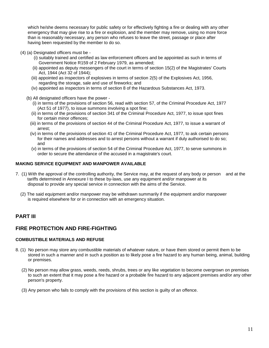which he/she deems necessary for public safety or for effectively fighting a fire or dealing with any other emergency that may give rise to a fire or explosion, and the member may remove, using no more force than is reasonably necessary, any person who refuses to leave the street, passage or place after having been requested by the member to do so.

- (4) (a) Designated officers must be
	- (i) suitably trained and certified as law enforcement officers and be appointed as such in terms of Government Notice R159 of 2 February 1979, as amended;
	- (ii) appointed as deputy messengers of the court in terms of section 15(2) of the Magistrates' Courts Act, 1944 (Act 32 of 1944);
	- (iii) appointed as inspectors of explosives in terms of section 2(5) of the Explosives Act, 1956, regarding the storage, sale and use of fireworks; and
	- (iv) appointed as inspectors in terms of section 8 of the Hazardous Substances Act, 1973.
	- (b) All designated officers have the power
		- (i) in terms of the provisions of section 56, read with section 57, of the Criminal Procedure Act, 1977 (Act 51 of 1977), to issue summons involving a spot fine;
		- (ii) in terms of the provisions of section 341 of the Criminal Procedure Act, 1977, to issue spot fines for certain minor offences;
		- (iii) in terms of the provisions of section 44 of the Criminal Procedure Act, 1977, to issue a warrant of arrest;
		- (iv) in terms of the provisions of section 41 of the Criminal Procedure Act, 1977, to ask certain persons for their names and addresses and to arrest persons without a warrant if duly authorised to do so; and
		- (v) in terms of the provisions of section 54 of the Criminal Procedure Act, 1977, to serve summons in order to secure the attendance of the accused in a magistrate's court.

## **MAKING SERVICE EQUIPMENT AND MANPOWER AVAILABLE**

- 7. (1) With the approval of the controlling authority, the Service may, at the request of any body or person and at the tariffs determined in Annexure I to these by-laws, use any equipment and/or manpower at its disposal to provide any special service in connection with the aims of the Service.
	- (2) The said equipment and/or manpower may be withdrawn summarily if the equipment and/or manpower is required elsewhere for or in connection with an emergency situation.

## **PART III**

## **FIRE PROTECTION AND FIRE-FIGHTING**

## **COMBUSTIBLE MATERIALS AND REFUSE**

- 8. (1) No person may store any combustible materials of whatever nature, or have them stored or permit them to be stored in such a manner and in such a position as to likely pose a fire hazard to any human being, animal, building or premises.
	- (2) No person may allow grass, weeds, reeds, shrubs, trees or any like vegetation to become overgrown on premises to such an extent that it may pose a fire hazard or a probable fire hazard to any adjacent premises and/or any other person's property.
	- (3) Any person who fails to comply with the provisions of this section is guilty of an offence.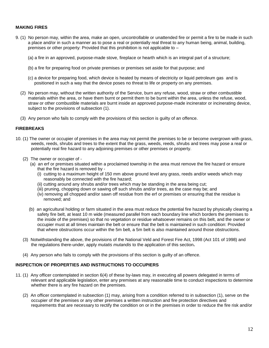## **MAKING FIRES**

- 9. (1) No person may, within the area, make an open, uncontrollable or unattended fire or permit a fire to be made in such a place and/or in such a manner as to pose a real or potentially real threat to any human being, animal, building, premises or other property: Provided that this prohibition is not applicable to –
	- (a) a fire in an approved, purpose-made stove, fireplace or hearth which is an integral part of a structure;
	- (b) a fire for preparing food on private premises or premises set aside for that purpose; and
	- (c) a device for preparing food, which device is heated by means of electricity or liquid petroleum gas and is positioned in such a way that the device poses no threat to life or property on any premises.
	- (2) No person may, without the written authority of the Service, burn any refuse, wood, straw or other combustible materials within the area, or have them burnt or permit them to be burnt within the area, unless the refuse, wood, straw or other combustible materials are burnt inside an approved purpose-made incinerator or incinerating device, subject to the provisions of subsection (1).
	- (3) Any person who fails to comply with the provisions of this section is guilty of an offence.

## **FIREBREAKS**

- 10. (1) The owner or occupier of premises in the area may not permit the premises to be or become overgrown with grass, weeds, reeds, shrubs and trees to the extent that the grass, weeds, reeds, shrubs and trees may pose a real or potentially real fire hazard to any adjoining premises or other premises or property.
	- (2) The owner or occupier of
		- (a) an erf or premises situated within a proclaimed township in the area must remove the fire hazard or ensure that the fire hazard is removed by -
			- (i) cutting to a maximum height of 150 mm above ground level any grass, reeds and/or weeds which may reasonably be connected with the fire hazard;
			- (ii) cutting around any shrubs and/or trees which may be standing in the area being cut;
			- (iii) pruning, chopping down or sawing off such shrubs and/or trees, as the case may be; and
			- (iv) removing all chopped and/or sawn off residue from the erf or premises or ensuring that the residue is removed; and
		- (b) an agricultural holding or farm situated in the area must reduce the potential fire hazard by physically clearing a safety fire belt, at least 10 m wide (measured parallel from each boundary line which borders the premises to the inside of the premises) so that no vegetation or residue whatsoever remains on this belt, and the owner or occupier must at all times maintain the belt or ensure that the belt is maintained in such condition: Provided that where obstructions occur within the 5m belt, a 5m belt is also maintained around those obstructions.
	- (3) Notwithstanding the above, the provisions of the National Veld and Forest Fire Act, 1998 (Act 101 of 1998) and the regulations there-under, apply *mutatis mutandis* to the application of this section**.**
	- (4) Any person who fails to comply with the provisions of this section is guilty of an offence.

#### **INSPECTION OF PROPERTIES AND INSTRUCTIONS TO OCCUPIERS**

- 11. (1) Any officer contemplated in section 6(4) of these by-laws may, in executing all powers delegated in terms of relevant and applicable legislation, enter any premises at any reasonable time to conduct inspections to determine whether there is any fire hazard on the premises.
	- (2) An officer contemplated in subsection (1) may, arising from a condition referred to in subsection (1), serve on the occupier of the premises or any other premises a written instruction and fire protection directives and requirements that are necessary to rectify the condition on or in the premises in order to reduce the fire risk and/or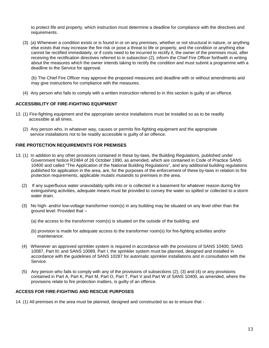to protect life and property, which instruction must determine a deadline for compliance with the directives and requirements.

 (3) (a) Whenever a condition exists or is found in or on any premises, whether or not structural in nature, or anything else exists that may increase the fire risk or pose a threat to life or property, and the condition or anything else cannot be rectified immediately, or if costs need to be incurred to rectify it, the owner of the premises must, after receiving the rectification directives referred to in subsection (2), inform the Chief Fire Officer forthwith in writing about the measures which the owner intends taking to rectify the condition and must submit a programme with a deadline to the Service for approval.

 (b) The Chief Fire Officer may approve the proposed measures and deadline with or without amendments and may give instructions for compliance with the measures.

(4) Any person who fails to comply with a written instruction referred to in this section is guilty of an offence.

## **ACCESSIBILITY OF FIRE-FIGHTING EQUIPMENT**

- 12. (1) Fire-fighting equipment and the appropriate service installations must be installed so as to be readily accessible at all times.
	- (2) Any person who, in whatever way, causes or permits fire-fighting equipment and the appropriate service installations not to be readily accessible is guilty of an offence.

## **FIRE PROTECTION REQUIREMENTS FOR PREMISES**

- 13. (1) In addition to any other provisions contained in these by-laws, the Building Regulations, published under Government Notice R2484 of 26 October 1990, as amended, which are contained in Code of Practice SANS 10400 and called "The Application of the National Building Regulations", and any additional building regulations published for application in the area, are, for the purposes of the enforcement of these by-laws in relation to fire protection requirements, applicable *mutatis mutandis* to premises in the area.
	- (2) If any superfluous water unavoidably spills into or is collected in a basement for whatever reason during fire extinguishing activities, adequate means must be provided to convey the water so spilled or collected to a storm water drain.
	- (3) No high- and/or low-voltage transformer room(s) in any building may be situated on any level other than the ground level: Provided that –
		- (a) the access to the transformer room(s) is situated on the outside of the building; and
		- (b) provision is made for adequate access to the transformer room(s) for fire-fighting activities and/or maintenance.
	- (4) Whenever an approved sprinkler system is required in accordance with the provisions of SANS 10400; SANS 10087, Part III; and SANS 10089, Part I, the sprinkler system must be planned, designed and installed in accordance with the guidelines of SANS 10287 for automatic sprinkler installations and in consultation with the Service.
	- (5) Any person who fails to comply with any of the provisions of subsections (2), (3) and (4) or any provisions contained in Part A, Part K, Part M, Part O, Part T, Part V and Part W of SANS 10400, as amended, where the provisions relate to fire protection matters, is guilty of an offence.

#### **ACCESS FOR FIRE-FIGHTING AND RESCUE PURPOSES**

14. (1) All premises in the area must be planned, designed and constructed so as to ensure that -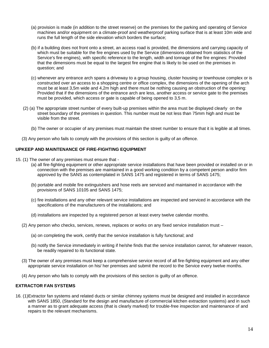- (a) provision is made (in addition to the street reserve) on the premises for the parking and operating of Service machines and/or equipment on a climate-proof and weatherproof parking surface that is at least 10m wide and runs the full length of the side elevation which borders the surface;
- (b) if a building does not front onto a street, an access road is provided, the dimensions and carrying capacity of which must be suitable for the fire engines used by the Service (dimensions obtained from statistics of the Service's fire engines), with specific reference to the length, width and tonnage of the fire engines: Provided that the dimensions must be equal to the largest fire engine that is likely to be used on the premises in question; and
- (c) whenever any entrance arch spans a driveway to a group housing, cluster housing or townhouse complex or is constructed over an access to a shopping centre or office complex, the dimensions of the opening of the arch must be at least 3,5m wide and 4,2m high and there must be nothing causing an obstruction of the opening: Provided that if the dimensions of the entrance arch are less, another access or service gate to the premises must be provided, which access or gate is capable of being opened to 3,5 m.
- (2) (a) The appropriate street number of every built-up premises within the area must be displayed clearly on the street boundary of the premises in question. This number must be not less than 75mm high and must be visible from the street.
	- (b) The owner or occupier of any premises must maintain the street number to ensure that it is legible at all times.
- (3) Any person who fails to comply with the provisions of this section is guilty of an offence.

#### **UPKEEP AND MAINTENANCE OF FIRE-FIGHTING EQUIPMENT**

- 15. (1) The owner of any premises must ensure that
	- (a) all fire-fighting equipment or other appropriate service installations that have been provided or installed on or in connection with the premises are maintained in a good working condition by a competent person and/or firm approved by the SANS as contemplated in SANS 1475 and registered in terms of SANS 1475;
	- (b) portable and mobile fire extinguishers and hose reels are serviced and maintained in accordance with the provisions of SANS 10105 and SANS 1475;
	- (c) fire installations and any other relevant service installations are inspected and serviced in accordance with the specifications of the manufacturers of the installations; and
	- (d) installations are inspected by a registered person at least every twelve calendar months.
	- (2) Any person who checks, services, renews, replaces or works on any fixed service installation must
		- (a) on completing the work, certify that the service installation is fully functional; and
		- (b) notify the Service immediately in writing if he/she finds that the service installation cannot, for whatever reason, be readily repaired to its functional state.
	- (3) The owner of any premises must keep a comprehensive service record of all fire-fighting equipment and any other appropriate service installation on his/ her premises and submit the record to the Service every twelve months.
	- (4) Any person who fails to comply with the provisions of this section is guilty of an offence.

## **EXTRACTOR FAN SYSTEMS**

16. (1)Extractor fan systems and related ducts or similar chimney systems must be designed and installed in accordance with SANS 1850, (Standard for the design and manufacture of commercial kitchen extraction systems) and in such a manner as to grant adequate access (that is clearly marked) for trouble-free inspection and maintenance of and repairs to the relevant mechanisms.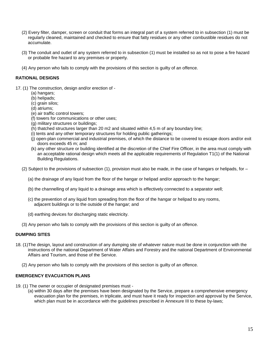- (2) Every filter, damper, screen or conduit that forms an integral part of a system referred to in subsection (1) must be regularly cleaned, maintained and checked to ensure that fatty residues or any other combustible residues do not accumulate.
- (3) The conduit and outlet of any system referred to in subsection (1) must be installed so as not to pose a fire hazard or probable fire hazard to any premises or property.
- (4) Any person who fails to comply with the provisions of this section is guilty of an offence.

## **RATIONAL DESIGNS**

- 17. (1) The construction, design and/or erection of
	- (a) hangars;
	- (b) helipads;
	- (c) grain silos;
	- (d) atriums;
	- (e) air traffic control towers;
	- (f) towers for communications or other uses;
	- (g) military structures or buildings;
	- (h) thatched structures larger than 20 m2 and situated within 4,5 m of any boundary line;
	- (i) tents and any other temporary structures for holding public gatherings;
	- (j) open-plan commercial and industrial premises, of which the distance to be covered to escape doors and/or exit doors exceeds 45 m; and
	- (k) any other structure or building identified at the discretion of the Chief Fire Officer, in the area must comply with an acceptable rational design which meets all the applicable requirements of Regulation T1(1) of the National Building Regulations.
	- (2) Subject to the provisions of subsection (1), provision must also be made, in the case of hangars or helipads, for  $-$ 
		- (a) the drainage of any liquid from the floor of the hangar or helipad and/or approach to the hangar;
		- (b) the channelling of any liquid to a drainage area which is effectively connected to a separator well;
		- (c) the prevention of any liquid from spreading from the floor of the hangar or helipad to any rooms, adjacent buildings or to the outside of the hangar; and
		- (d) earthing devices for discharging static electricity.
	- (3) Any person who fails to comply with the provisions of this section is guilty of an offence.

## **DUMPING SITES**

- 18. (1)The design, layout and construction of any dumping site of whatever nature must be done in conjunction with the instructions of the national Department of Water Affairs and Forestry and the national Department of Environmental Affairs and Tourism, and those of the Service.
	- (2) Any person who fails to comply with the provisions of this section is guilty of an offence.

## **EMERGENCY EVACUATION PLANS**

- 19. (1) The owner or occupier of designated premises must
	- (a) within 30 days after the premises have been designated by the Service, prepare a comprehensive emergency evacuation plan for the premises, in triplicate, and must have it ready for inspection and approval by the Service, which plan must be in accordance with the guidelines prescribed in Annexure III to these by-laws;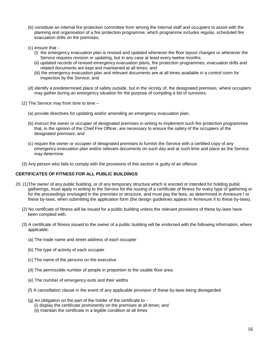- (b) constitute an internal fire protection committee from among the internal staff and occupiers to assist with the planning and organisation of a fire protection programme, which programme includes regular, scheduled fire evacuation drills on the premises;
- (c) ensure that
	- (i) the emergency evacuation plan is revised and updated whenever the floor layout changes or whenever the Service requires revision or updating, but in any case at least every twelve months;
	- (ii) updated records of revised emergency evacuation plans, fire protection programmes, evacuation drills and related documents are kept and maintained at all times; and
	- (iii) the emergency evacuation plan and relevant documents are at all times available in a control room for inspection by the Service; and
- (d) identify a predetermined place of safety outside, but in the vicinity of, the designated premises, where occupiers may gather during an emergency situation for the purpose of compiling a list of survivors.
- (2) The Service may from time to time  $-$ 
	- (a) provide directives for updating and/or amending an emergency evacuation plan;
	- (b) instruct the owner or occupier of designated premises in writing to implement such fire protection programmes that, in the opinion of the Chief Fire Officer, are necessary to ensure the safety of the occupiers of the designated premises; and
	- (c) require the owner or occupier of designated premises to furnish the Service with a certified copy of any emergency evacuation plan and/or relevant documents on such day and at such time and place as the Service may determine.
- (3) Any person who fails to comply with the provisions of this section is guilty of an offence.

## **CERTIFICATES OF FITNESS FOR ALL PUBLIC BUILDINGS**

- 20. (1)The owner of any public building, or of any temporary structure which is erected or intended for holding public gatherings, must apply in writing to the Service for the issuing of a certificate of fitness for every type of gathering or for the proceedings envisaged in the premises or structure, and must pay the fees, as determined in Annexure I to these by-laws, when submitting the application form (the design guidelines appear in Annexure II to these by-laws).
	- (2) No certificate of fitness will be issued for a public building unless the relevant provisions of these by-laws have been complied with.
	- (3) A certificate of fitness issued to the owner of a public building will be endorsed with the following information, where applicable:
		- (a) The trade name and street address of each occupier
		- (b) The type of activity of each occupier
		- (c) The name of the persons on the executive
		- (d) The permissible number of people in proportion to the usable floor area
		- (e) The number of emergency exits and their widths
		- (f) A cancellation clause in the event of any applicable provision of these by-laws being disregarded
		- (g) An obligation on the part of the holder of the certificate to
			- (i) display the certificate prominently on the premises at all times; and
			- (ii) maintain the certificate in a legible condition at all times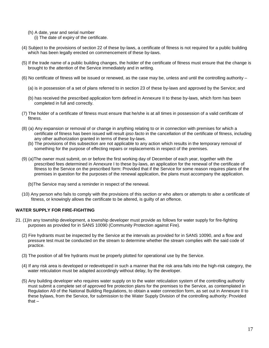- (h) A date, year and serial number
	- (i) The date of expiry of the certificate.
- (4) Subject to the provisions of section 22 of these by-laws, a certificate of fitness is not required for a public building which has been legally erected on commencement of these by-laws.
- (5) If the trade name of a public building changes, the holder of the certificate of fitness must ensure that the change is brought to the attention of the Service immediately and in writing.
- (6) No certificate of fitness will be issued or renewed, as the case may be, unless and until the controlling authority
	- (a) is in possession of a set of plans referred to in section 23 of these by-laws and approved by the Service; and
	- (b) has received the prescribed application form defined in Annexure II to these by-laws, which form has been completed in full and correctly.
- (7) The holder of a certificate of fitness must ensure that he/she is at all times in possession of a valid certificate of fitness.
- (8) (a) Any expansion or removal of or change in anything relating to or in connection with premises for which a certificate of fitness has been issued will result *ipso facto* in the cancellation of the certificate of fitness, including any other authorization granted in terms of these by-laws.
	- (b) The provisions of this subsection are not applicable to any action which results in the temporary removal of something for the purpose of effecting repairs or replacements in respect of the premises.
- (9) (a)The owner must submit, on or before the first working day of December of each year, together with the prescribed fees determined in Annexure I to these by-laws, an application for the renewal of the certificate of fitness to the Service on the prescribed form: Provided that if the Service for some reason requires plans of the premises in question for the purposes of the renewal application, the plans must accompany the application.
	- (b)The Service may send a reminder in respect of the renewal.
- (10) Any person who fails to comply with the provisions of this section or who alters or attempts to alter a certificate of fitness, or knowingly allows the certificate to be altered, is guilty of an offence.

## **WATER SUPPLY FOR FIRE-FIGHTING**

- 21. (1)In any township development, a township developer must provide as follows for water supply for fire-fighting purposes as provided for in SANS 10090 (Community Protection against Fire).
	- (2) Fire hydrants must be inspected by the Service at the intervals as provided for in SANS 10090, and a flow and pressure test must be conducted on the stream to determine whether the stream complies with the said code of practice.
	- (3) The position of all fire hydrants must be properly plotted for operational use by the Service.
	- (4) If any risk area is developed or redeveloped in such a manner that the risk area falls into the high-risk category, the water reticulation must be adapted accordingly without delay, by the developer.
	- (5) Any building developer who requires water supply on to the water reticulation system of the controlling authority must submit a complete set of approved fire protection plans for the premises to the Service, as contemplated in Regulation A9 of the National Building Regulations, to obtain a water connection form, as set out in Annexure II to these bylaws, from the Service, for submission to the Water Supply Division of the controlling authority: Provided that –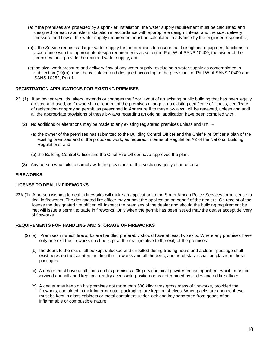- (a) if the premises are protected by a sprinkler installation, the water supply requirement must be calculated and designed for each sprinkler installation in accordance with appropriate design criteria, and the size, delivery pressure and flow of the water supply requirement must be calculated in advance by the engineer responsible;
- (b) if the Service requires a larger water supply for the premises to ensure that fire-fighting equipment functions in accordance with the appropriate design requirements as set out in Part W of SANS 10400, the owner of the premises must provide the required water supply; and
- (c) the size, work pressure and delivery flow of any water supply, excluding a water supply as contemplated in subsection (10)(a), must be calculated and designed according to the provisions of Part W of SANS 10400 and SANS 10252, Part 1.

## **REGISTRATION APPLICATIONS FOR EXISTING PREMISES**

- 22. (1) If an owner rebuilds, alters, extends or changes the floor layout of an existing public building that has been legally erected and used, or if ownership or control of the premises changes, no existing certificate of fitness, certificate of registration or spraying permit, as prescribed in Annexure II to these by-laws, will be renewed, unless and until all the appropriate provisions of these by-laws regarding an original application have been complied with.
	- (2) No additions or alterations may be made to any existing registered premises unless and until
		- (a) the owner of the premises has submitted to the Building Control Officer and the Chief Fire Officer a plan of the existing premises and of the proposed work, as required in terms of Regulation A2 of the National Building Regulations; and
		- (b) the Building Control Officer and the Chief Fire Officer have approved the plan.
	- (3) Any person who fails to comply with the provisions of this section is guilty of an offence.

## **FIREWORKS**

#### **LICENSE TO DEAL IN FIREWORKS**

22A (1) A person wishing to deal in fireworks will make an application to the South African Police Services for a license to deal in fireworks. The designated fire officer may submit the application on behalf of the dealers. On receipt of the license the designated fire officer will inspect the premises of the dealer and should the building requirement be met will issue a permit to trade in fireworks. Only when the permit has been issued may the dealer accept delivery of fireworks.

#### **REQUIREMENTS FOR HANDLING AND STORAGE OF FIREWORKS**

- (2) (a) Premises in which fireworks are handled preferably should have at least two exits. Where any premises have only one exit the fireworks shall be kept at the rear (relative to the exit) of the premises.
	- (b) The doors to the exit shall be kept unlocked and unbolted during trading hours and a clear passage shall exist between the counters holding the fireworks and all the exits, and no obstacle shall be placed in these passages.
	- (c) A dealer must have at all times on his premises a 9kg dry chemical powder fire extinguisher which must be serviced annually and kept in a readily accessible position or as determined by a designated fire officer.
	- (d) A dealer may keep on his premises not more than 500 kilograms gross mass of fireworks, provided the fireworks, contained in their inner or outer packaging, are kept on shelves. When packs are opened these must be kept in glass cabinets or metal containers under lock and key separated from goods of an inflammable or combustible nature.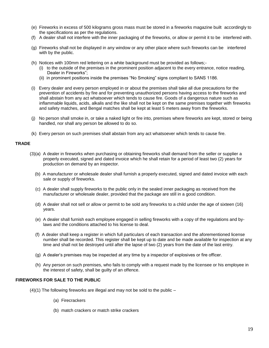- (e) Fireworks in excess of 500 kilograms gross mass must be stored in a fireworks magazine built accordingly to the specifications as per the regulations.
- (f) A dealer shall not interfere with the inner packaging of the fireworks, or allow or permit it to be interfered with.
- (g) Fireworks shall not be displayed in any window or any other place where such fireworks can be interfered with by the public.
- (h) Notices with 100mm red lettering on a white background must be provided as follows;-
	- (i) to the outside of the premises in the prominent position adjacent to the every entrance, notice reading, Dealer in Fireworks";
	- (ii) in prominent positions inside the premises "No Smoking" signs compliant to SANS 1186.
- (i) Every dealer and every person employed in or about the premises shall take all due precautions for the prevention of accidents by fire and for preventing unauthorized persons having access to the fireworks and shall abstain from any act whatsoever which tends to cause fire. Goods of a dangerous nature such as inflammable liquids, acids, alkalis and the like shall not be kept on the same premises together with fireworks and safety matches, and Bengal matches shall be kept at least 5 meters away from the fireworks.
- (j) No person shall smoke in, or take a naked light or fire into, premises where fireworks are kept, stored or being handled, nor shall any person be allowed to do so.
- (k) Every person on such premises shall abstain from any act whatsoever which tends to cause fire.

#### **TRADE**

- (3)(a) A dealer in fireworks when purchasing or obtaining fireworks shall demand from the seller or supplier a properly executed, signed and dated invoice which he shall retain for a period of least two (2) years for production on demand by an inspector.
	- (b) A manufacturer or wholesale dealer shall furnish a properly executed, signed and dated invoice with each sale or supply of fireworks.
	- (c) A dealer shall supply fireworks to the public only in the sealed inner packaging as received from the manufacturer or wholesale dealer, provided that the package are still in a good condition.
	- (d) A dealer shall not sell or allow or permit to be sold any fireworks to a child under the age of sixteen (16) years.
	- (e) A dealer shall furnish each employee engaged in selling fireworks with a copy of the regulations and bylaws and the conditions attached to his license to deal.
	- (f) A dealer shall keep a register in which full particulars of each transaction and the aforementioned license number shall be recorded. This register shall be kept up to date and be made available for inspection at any time and shall not be destroyed until after the lapse of two (2) years from the date of the last entry.
	- (g) A dealer's premises may be inspected at any time by a inspector of explosives or fire officer.
	- (h) Any person on such premises, who fails to comply with a request made by the licensee or his employee in the interest of safety, shall be guilty of an offence.

#### **FIREWORKS FOR SALE TO THE PUBLIC**

- (4)(1) The following fireworks are illegal and may not be sold to the public
	- (a) Firecrackers
	- (b) match crackers or match strike crackers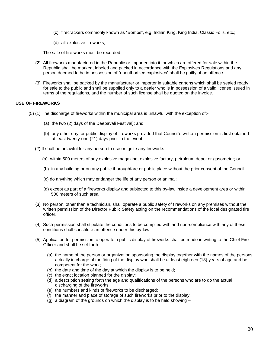- (c) firecrackers commonly known as "Bombs", e.g. Indian King, King India, Classic Foils, etc.;
- (d) all explosive fireworks;

The sale of fire works must be recorded.

- (2) All fireworks manufactured in the Republic or imported into it, or which are offered for sale within the Republic shall be marked, labeled and packed in accordance with the Explosives Regulations and any person deemed to be in possession of "unauthorized explosives" shall be guilty of an offence.
- (3) Fireworks shall be packed by the manufacturer or importer in suitable cartons which shall be sealed ready for sale to the public and shall be supplied only to a dealer who is in possession of a valid license issued in terms of the regulations, and the number of such license shall be quoted on the invoice.

#### **USE OF FIREWORKS**

- (5) (1) The discharge of fireworks within the municipal area is unlawful with the exception of:-
	- (a) the two (2) days of the Deepavali Festival); and
	- (b) any other day for public display of fireworks provided that Council's written permission is first obtained at least twenty-one (21) days prior to the event.
	- (2) It shall be unlawful for any person to use or ignite any fireworks
		- (a) within 500 meters of any explosive magazine, explosive factory, petroleum depot or gasometer; or
		- (b) in any building or on any public thoroughfare or public place without the prior consent of the Council;
		- (c) do anything which may endanger the life of any person or animal;
		- (d) except as part of a fireworks display and subjected to this by-law inside a development area or within 500 meters of such area.
	- (3) No person, other than a technician, shall operate a public safety of fireworks on any premises without the written permission of the Director Public Safety acting on the recommendations of the local designated fire officer.
	- (4) Such permission shall stipulate the conditions to be complied with and non-compliance with any of these conditions shall constitute an offence under this by-law.
	- (5) Application for permission to operate a public display of fireworks shall be made in writing to the Chief Fire Officer and shall be set forth -
		- (a) the name of the person or organization sponsoring the display together with the names of the persons actually in charge of the firing of the display who shall be at least eighteen (18) years of age and be competent for the work;
		- (b) the date and time of the day at which the display is to be held;
		- (c) the exact location planned for the display;
		- (d) a description setting forth the age and qualifications of the persons who are to do the actual discharging of the fireworks;
		- (e) the numbers and kinds of fireworks to be discharged;
		- (f) the manner and place of storage of such fireworks prior to the display;
		- (g) a diagram of the grounds on which the display is to be held showing –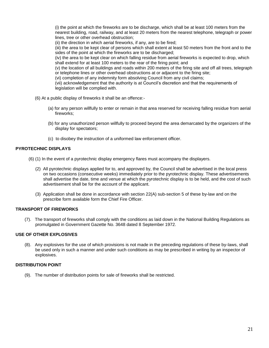(i) the point at which the fireworks are to be discharge, which shall be at least 100 meters from the nearest building, road, railway, and at least 20 meters from the nearest telephone, telegraph or power lines, tree or other overhead obstruction;

(ii) the direction in which aerial fireworks, if any, are to be fired;

(iii) the area to be kept clear of persons which shall extent at least 50 meters from the front and to the sides of the point at which the fireworks are to be discharged;

(iv) the area to be kept clear on which falling residue from aerial fireworks is expected to drop, which shall extend for at least 100 meters to the rear of the firing point; and

(v) the location of all buildings and roads within 200 meters of the firing site and off all trees, telegraph or telephone lines or other overhead obstructions at or adjacent to the firing site;

(vi) completion of any indemnity form absolving Council from any civil claims;

(vii) acknowledgement that the authority is at Council's discretion and that the requirements of legislation will be complied with.

- (6) At a public display of fireworks it shall be an offence:-
	- (a) for any person willfully to enter or remain in that area reserved for receiving falling residue from aerial fireworks;
	- (b) for any unauthorized person willfully to proceed beyond the area demarcated by the organizers of the display for spectators;
	- (c) to disobey the instruction of a uniformed law enforcement officer.

#### **PYROTECHNIC DISPLAYS**

(6) (1) In the event of a pyrotechnic display emergency flares must accompany the displayers.

- (2) All pyrotechnic displays applied for to, and approved by, the Council shall be advertised in the local press on two occasions (consecutive weeks) immediately prior to the pyrotechnic display. These advertisements shall advertise the date, time and venue at which the pyrotechnic display is to be held, and the cost of such advertisement shall be for the account of the applicant.
- (3) Application shall be done in accordance with section 22(A) sub-section 5 of these by-law and on the prescribe form available form the Chief Fire Officer.

## **TRANSPORT OF FIREWORKS**

(7). The transport of fireworks shall comply with the conditions as laid down in the National Building Regulations as promulgated in Government Gazette No. 3648 dated 8 September 1972.

#### **USE OF OTHER EXPLOSIVES**

(8). Any explosives for the use of which provisions is not made in the preceding regulations of these by-laws, shall be used only in such a manner and under such conditions as may be prescribed in writing by an inspector of explosives.

#### **DISTRIBUTION POINT**

(9). The number of distribution points for sale of fireworks shall be restricted.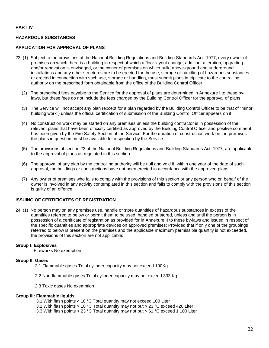#### **PART IV**

## **HAZARDOUS SUBSTANCES**

#### **APPLICATION FOR APPROVAL OF PLANS**

- 23. (1) Subject to the provisions of the National Building Regulations and Building Standards Act, 1977, every owner of premises on which there is a building in respect of which a floor layout change, addition, alteration, upgrading and/or renovation is envisaged, or the owner of premises on which bulk, above-ground and underground installations and any other structures are to be erected for the use, storage or handling of hazardous substances or erected in connection with such use, storage or handling, must submit plans in triplicate to the controlling authority on the prescribed form obtainable from the office of the Building Control Officer.
	- (2) The prescribed fees payable to the Service for the approval of plans are determined in Annexure I to these bylaws, but these fees do not include the fees charged by the Building Control Officer for the approval of plans.
	- (3) The Service will not accept any plan (except for a plan regarded by the Building Control Officer to be that of "minor building work") unless the official certification of submission of the Building Control Officer appears on it.
	- (4) No construction work may be started on any premises unless the building contractor is in possession of the relevant plans that have been officially certified as approved by the Building Control Officer and positive comment has been given by the Fire Safety Section of the Service. For the duration of construction work on the premises the plans in question must be available for inspection by the Service.
	- (5) The provisions of section 23 of the National Building Regulations and Building Standards Act, 1977, are applicable to the approval of plans as regulated in this section.
	- (6) The approval of any plan by the controlling authority will be null and void if, within one year of the date of such approval, the buildings or constructions have not been erected in accordance with the approved plans.
	- (7) Any owner of premises who fails to comply with the provisions of this section or any person who on behalf of the owner is involved in any activity contemplated in this section and fails to comply with the provisions of this section is guilty of an offence.

#### **ISSUING OF CERTIFICATES OF REGISTRATION**

24. (1) No person may on any premises use, handle or store quantities of hazardous substances in excess of the quantities referred to below or permit them to be used, handled or stored, unless and until the person is in possession of a certificate of registration as provided for in Annexure II to these by-laws and issued in respect of the specific quantities and appropriate devices on approved premises: Provided that if only one of the groupings referred to below is present on the premises and the applicable maximum permissible quantity is not exceeded, the provisions of this section are not applicable:

#### **Group I: Explosives**

Fireworks No exemption

#### **Group II: Gases**

- 2.1 Flammable gases Total cylinder capacity may not exceed 100Kg
- 2.2 Non-flammable gases Total cylinder capacity may not exceed 333 Kg
- 2.3 Toxic gases No exemption

#### **Group III: Flammable liquids**

3.1 With flash points ≥ 18 °C Total quantity may not exceed 100 Liter 3.2 With flash points > 18 °C Total quantity may not but ≤ 23 °C exceed 420 Liter 3.3 With flash points > 23 °C Total quantity may not but ≤ 61 °C exceed 1 100 Liter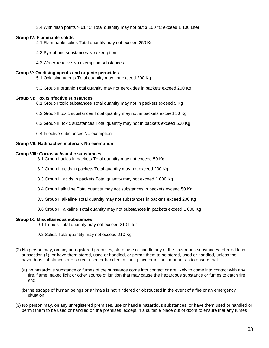3.4 With flash points > 61 °C Total quantity may not but ≤ 100 °C exceed 1 100 Liter

## **Group IV: Flammable solids**

4.1 Flammable solids Total quantity may not exceed 250 Kg

- 4.2 Pyrophoric substances No exemption
- 4.3 Water-reactive No exemption substances

#### **Group V: Oxidising agents and organic peroxides**

5.1 Oxidising agents Total quantity may not exceed 200 Kg

5.3 Group II organic Total quantity may not peroxides in packets exceed 200 Kg

#### **Group VI: Toxic/infective substances**

- 6.1 Group I toxic substances Total quantity may not in packets exceed 5 Kg
- 6.2 Group II toxic substances Total quantity may not in packets exceed 50 Kg
- 6.3 Group III toxic substances Total quantity may not in packets exceed 500 Kg
- 6.4 Infective substances No exemption

#### **Group VII: Radioactive materials No exemption**

#### **Group VIII: Corrosive/caustic substances**

- 8.1 Group I acids in packets Total quantity may not exceed 50 Kg
- 8.2 Group II acids in packets Total quantity may not exceed 200 Kg
- 8.3 Group III acids in packets Total quantity may not exceed 1 000 Kg
- 8.4 Group I alkaline Total quantity may not substances in packets exceed 50 Kg
- 8.5 Group II alkaline Total quantity may not substances in packets exceed 200 Kg
- 8.6 Group III alkaline Total quantity may not substances in packets exceed 1 000 Kg

#### **Group IX: Miscellaneous substances**

- 9.1 Liquids Total quantity may not exceed 210 Liter
- 9.2 Solids Total quantity may not exceed 210 Kg
- (2) No person may, on any unregistered premises, store, use or handle any of the hazardous substances referred to in subsection (1), or have them stored, used or handled, or permit them to be stored, used or handled, unless the hazardous substances are stored, used or handled in such place or in such manner as to ensure that -
	- (a) no hazardous substance or fumes of the substance come into contact or are likely to come into contact with any fire, flame, naked light or other source of ignition that may cause the hazardous substance or fumes to catch fire; and
	- (b) the escape of human beings or animals is not hindered or obstructed in the event of a fire or an emergency situation.
- (3) No person may, on any unregistered premises, use or handle hazardous substances, or have them used or handled or permit them to be used or handled on the premises, except in a suitable place out of doors to ensure that any fumes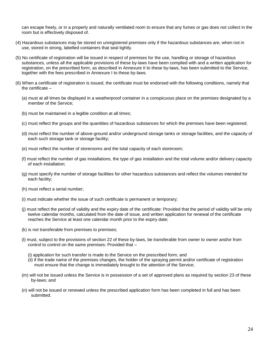can escape freely, or in a properly and naturally ventilated room to ensure that any fumes or gas does not collect in the room but is effectively disposed of.

- (4) Hazardous substances may be stored on unregistered premises only if the hazardous substances are, when not in use, stored in strong, labelled containers that seal tightly.
- (5) No certificate of registration will be issued in respect of premises for the use, handling or storage of hazardous substances, unless all the applicable provisions of these by-laws have been complied with and a written application for registration, on the prescribed form, as described in Annexure II to these by-laws, has been submitted to the Service, together with the fees prescribed in Annexure I to these by-laws.
- (6) When a certificate of registration is issued, the certificate must be endorsed with the following conditions, namely that the certificate –
	- (a) must at all times be displayed in a weatherproof container in a conspicuous place on the premises designated by a member of the Service;
	- (b) must be maintained in a legible condition at all times;
	- (c) must reflect the groups and the quantities of hazardous substances for which the premises have been registered;
	- (d) must reflect the number of above-ground and/or underground storage tanks or storage facilities, and the capacity of each such storage tank or storage facility;
	- (e) must reflect the number of storerooms and the total capacity of each storeroom;
	- (f) must reflect the number of gas installations, the type of gas installation and the total volume and/or delivery capacity of each installation;
	- (g) must specify the number of storage facilities for other hazardous substances and reflect the volumes intended for each facility;
	- (h) must reflect a serial number;
	- (i) must indicate whether the issue of such certificate is permanent or temporary;
	- (j) must reflect the period of validity and the expiry date of the certificate: Provided that the period of validity will be only twelve calendar months, calculated from the date of issue, and written application for renewal of the certificate reaches the Service at least one calendar month prior to the expiry date;
	- (k) is not transferable from premises to premises;
	- (l) must, subject to the provisions of section 22 of these by-laws, be transferable from owner to owner and/or from control to control on the same premises: Provided that –
		- (i) application for such transfer is made to the Service on the prescribed form; and
		- (ii) if the trade name of the premises changes, the holder of the spraying permit and/or certificate of registration must ensure that the change is immediately brought to the attention of the Service;
	- (m) will not be issued unless the Service is in possession of a set of approved plans as required by section 23 of these by-laws; and
	- (n) will not be issued or renewed unless the prescribed application form has been completed in full and has been submitted.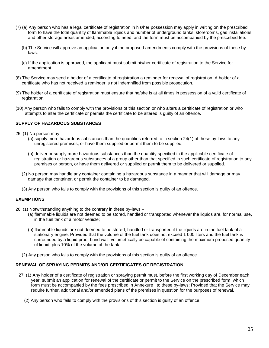- (7) (a) Any person who has a legal certificate of registration in his/her possession may apply in writing on the prescribed form to have the total quantity of flammable liquids and number of underground tanks, storerooms, gas installations and other storage areas amended, according to need, and the form must be accompanied by the prescribed fee.
	- (b) The Service will approve an application only if the proposed amendments comply with the provisions of these bylaws.
	- (c) If the application is approved, the applicant must submit his/her certificate of registration to the Service for amendment.
- (8) The Service may send a holder of a certificate of registration a reminder for renewal of registration. A holder of a certificate who has not received a reminder is not indemnified from possible prosecution.
- (9) The holder of a certificate of registration must ensure that he/she is at all times in possession of a valid certificate of registration.
- (10) Any person who fails to comply with the provisions of this section or who alters a certificate of registration or who attempts to alter the certificate or permits the certificate to be altered is guilty of an offence.

#### **SUPPLY OF HAZARDOUS SUBSTANCES**

- 25. (1) No person may
	- (a) supply more hazardous substances than the quantities referred to in section 24(1) of these by-laws to any unregistered premises, or have them supplied or permit them to be supplied;
	- (b) deliver or supply more hazardous substances than the quantity specified in the applicable certificate of registration or hazardous substances of a group other than that specified in such certificate of registration to any premises or person, or have them delivered or supplied or permit them to be delivered or supplied.
	- (2) No person may handle any container containing a hazardous substance in a manner that will damage or may damage that container, or permit the container to be damaged.
	- (3) Any person who fails to comply with the provisions of this section is guilty of an offence.

#### **EXEMPTIONS**

- 26. (1) Notwithstanding anything to the contrary in these by-laws
	- (a) flammable liquids are not deemed to be stored, handled or transported whenever the liquids are, for normal use, in the fuel tank of a motor vehicle;
	- (b) flammable liquids are not deemed to be stored, handled or transported if the liquids are in the fuel tank of a stationary engine: Provided that the volume of the fuel tank does not exceed 1 000 liters and the fuel tank is surrounded by a liquid proof bund wall, volumetrically be capable of containing the maximum proposed quantity of liquid, plus 10% of the volume of the tank.
	- (2) Any person who fails to comply with the provisions of this section is guilty of an offence.

#### **RENEWAL OF SPRAYING PERMITS AND/OR CERTIFICATES OF REGISTRATION**

- 27. (1) Any holder of a certificate of registration or spraying permit must, before the first working day of December each year, submit an application for renewal of the certificate or permit to the Service on the prescribed form, which form must be accompanied by the fees prescribed in Annexure I to these by-laws: Provided that the Service may require further, additional and/or amended plans of the premises in question for the purposes of renewal.
	- (2) Any person who fails to comply with the provisions of this section is guilty of an offence.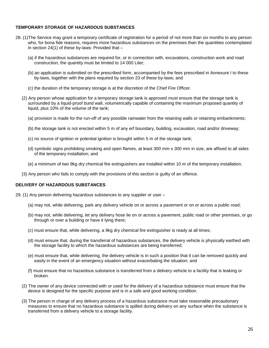## **TEMPORARY STORAGE OF HAZARDOUS SUBSTANCES**

- 28. (1)The Service may grant a temporary certificate of registration for a period of not more than six months to any person who, for bona fide reasons, requires more hazardous substances on the premises than the quantities contemplated in section  $24(1)$  of these by-laws: Provided that  $-$ 
	- (a) if the hazardous substances are required for, or in connection with, excavations, construction work and road construction, the quantity must be limited to 14 000 Liter;
	- (b) an application is submitted on the prescribed form, accompanied by the fees prescribed in Annexure I to these by-laws, together with the plans required by section 23 of these by-laws; and
	- (c) the duration of the temporary storage is at the discretion of the Chief Fire Officer.
	- (2) Any person whose application for a temporary storage tank is approved must ensure that the storage tank is surrounded by a liquid-proof bund wall, volumetrically capable of containing the maximum proposed quantity of liquid, plus 10% of the volume of the tank;
		- (a) provision is made for the run-off of any possible rainwater from the retaining walls or retaining embankments;
		- (b) the storage tank is not erected within 5 m of any erf boundary, building, excavation, road and/or driveway;
		- (c) no source of ignition or potential ignition is brought within 5 m of the storage tank;
		- (d) symbolic signs prohibiting smoking and open flames, at least 300 mm x 300 mm in size, are affixed to all sides of the temporary installation; and
		- (e) a minimum of two 9kg dry chemical fire extinguishers are installed within 10 m of the temporary installation.
	- (3) Any person who fails to comply with the provisions of this section is guilty of an offence.

#### **DELIVERY OF HAZARDOUS SUBSTANCES**

- 29. (1) Any person delivering hazardous substances to any supplier or user
	- (a) may not, while delivering, park any delivery vehicle on or across a pavement or on or across a public road;
	- (b) may not, while delivering, let any delivery hose lie on or across a pavement, public road or other premises, or go through or over a building or have it lying there;
	- (c) must ensure that, while delivering, a 9kg dry chemical fire extinguisher is ready at all times;
	- (d) must ensure that, during the transferral of hazardous substances, the delivery vehicle is physically earthed with the storage facility to which the hazardous substances are being transferred;
	- (e) must ensure that, while delivering, the delivery vehicle is in such a position that it can be removed quickly and easily in the event of an emergency situation without exacerbating the situation; and
	- (f) must ensure that no hazardous substance is transferred from a delivery vehicle to a facility that is leaking or broken.
	- (2) The owner of any device connected with or used for the delivery of a hazardous substance must ensure that the device is designed for the specific purpose and is in a safe and good working condition.
	- (3) The person in charge of any delivery process of a hazardous substance must take reasonable precautionary measures to ensure that no hazardous substance is spilled during delivery on any surface when the substance is transferred from a delivery vehicle to a storage facility.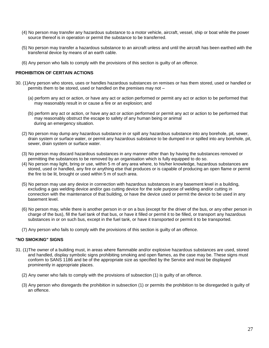- (4) No person may transfer any hazardous substance to a motor vehicle, aircraft, vessel, ship or boat while the power source thereof is in operation or permit the substance to be transferred.
- (5) No person may transfer a hazardous substance to an aircraft unless and until the aircraft has been earthed with the transferral device by means of an earth cable.
- (6) Any person who fails to comply with the provisions of this section is guilty of an offence.

## **PROHIBITION OF CERTAIN ACTIONS**

- 30. (1)Any person who stores, uses or handles hazardous substances on remises or has them stored, used or handled or permits them to be stored, used or handled on the premises may not –
	- (a) perform any act or action, or have any act or action performed or permit any act or action to be performed that may reasonably result in or cause a fire or an explosion; and
	- (b) perform any act or action, or have any act or action performed or permit any act or action to be performed that may reasonably obstruct the escape to safety of any human being or animal during an emergency situation.
	- (2) No person may dump any hazardous substance in or spill any hazardous substance into any borehole, pit, sewer, drain system or surface water, or permit any hazardous substance to be dumped in or spilled into any borehole, pit, sewer, drain system or surface water.
	- (3) No person may discard hazardous substances in any manner other than by having the substances removed or permitting the substances to be removed by an organisation which is fully equipped to do so.
	- (4) No person may light, bring or use, within 5 m of any area where, to his/her knowledge, hazardous substances are stored, used or handled, any fire or anything else that produces or is capable of producing an open flame or permit the fire to be lit, brought or used within 5 m of such area.
	- (5) No person may use any device in connection with hazardous substances in any basement level in a building, excluding a gas welding device and/or gas cutting device for the sole purpose of welding and/or cutting in connection with the maintenance of that building, or have the device used or permit the device to be used in any basement level.
	- (6) No person may, while there is another person in or on a bus (except for the driver of the bus, or any other person in charge of the bus), fill the fuel tank of that bus, or have it filled or permit it to be filled, or transport any hazardous substances in or on such bus, except in the fuel tank, or have it transported or permit it to be transported.
	- (7) Any person who fails to comply with the provisions of this section is guilty of an offence.

#### **"NO SMOKING" SIGNS**

- 31. (1)The owner of a building must, in areas where flammable and/or explosive hazardous substances are used, stored and handled, display symbolic signs prohibiting smoking and open flames, as the case may be. These signs must conform to SANS 1186 and be of the appropriate size as specified by the Service and must be displayed prominently in appropriate places.
	- (2) Any owner who fails to comply with the provisions of subsection (1) is guilty of an offence.
	- (3) Any person who disregards the prohibition in subsection (1) or permits the prohibition to be disregarded is guilty of an offence.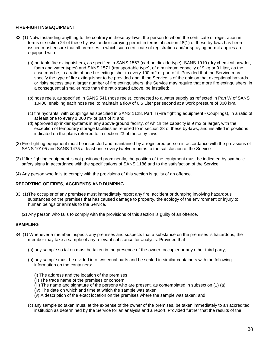## **FIRE-FIGHTING EQUIPMENT**

- 32. (1) Notwithstanding anything to the contrary in these by-laws, the person to whom the certificate of registration in terms of section 24 of these bylaws and/or spraying permit in terms of section 48(1) of these by-laws has been issued must ensure that all premises to which such certificate of registration and/or spraying permit applies are equipped with –
	- (a) portable fire extinguishers, as specified in SANS 1567 (carbon dioxide type), SANS 1910 (dry chemical powder, foam and water types) and SANS 1571 (transportable type), of a minimum capacity of 9 kg or 9 Liter, as the case may be, in a ratio of one fire extinguisher to every 100 m2 or part of it: Provided that the Service may specify the type of fire extinguisher to be provided and, if the Service is of the opinion that exceptional hazards or risks necessitate a larger number of fire extinguishers, the Service may require that more fire extinguishers, in a consequential smaller ratio than the ratio stated above, be installed;
	- (b) hose reels, as specified in SANS 541 (hose reels), connected to a water supply as reflected in Part W of SANS 10400, enabling each hose reel to maintain a flow of 0,5 Liter per second at a work pressure of 300 kPa;
	- (c) fire hydrants, with couplings as specified in SANS 1128, Part II (Fire fighting equipment Couplings), in a ratio of at least one to every 1 000 m² or part of it; and
	- (d) approved sprinkler systems in any above-ground facility, of which the capacity is 9 m3 or larger, with the exception of temporary storage facilities as referred to in section 28 of these by-laws, and installed in positions indicated on the plans referred to in section 23 of these by-laws.
- (2) Fire-fighting equipment must be inspected and maintained by a registered person in accordance with the provisions of SANS 10105 and SANS 1475 at least once every twelve months to the satisfaction of the Service.
- (3) If fire-fighting equipment is not positioned prominently, the position of the equipment must be indicated by symbolic safety signs in accordance with the specifications of SANS 1186 and to the satisfaction of the Service.
- (4) Any person who fails to comply with the provisions of this section is guilty of an offence.

#### **REPORTING OF FIRES, ACCIDENTS AND DUMPING**

- 33. (1)The occupier of any premises must immediately report any fire, accident or dumping involving hazardous substances on the premises that has caused damage to property, the ecology of the environment or injury to human beings or animals to the Service.
	- (2) Any person who fails to comply with the provisions of this section is guilty of an offence.

#### **SAMPLING**

- 34. (1) Whenever a member inspects any premises and suspects that a substance on the premises is hazardous, the member may take a sample of any relevant substance for analysis: Provided that –
	- (a) any sample so taken must be taken in the presence of the owner, occupier or any other third party;
	- (b) any sample must be divided into two equal parts and be sealed in similar containers with the following information on the containers:
		- (i) The address and the location of the premises
		- (ii) The trade name of the premises or concern
		- (iii) The name and signature of the persons who are present, as contemplated in subsection (1) (a)
		- (iv) The date on which and time at which the sample was taken
		- (v) A description of the exact location on the premises where the sample was taken; and
	- (c) any sample so taken must, at the expense of the owner of the premises, be taken immediately to an accredited institution as determined by the Service for an analysis and a report: Provided further that the results of the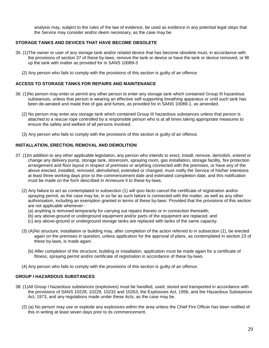analysis may, subject to the rules of the law of evidence, be used as evidence in any potential legal steps that the Service may consider and/or deem necessary, as the case may be.

## **STORAGE TANKS AND DEVICES THAT HAVE BECOME OBSOLETE**

- 35. (1)The owner or user of any storage tank and/or related device that has become obsolete must, in accordance with the provisions of section 37 of these by-laws, remove the tank or device or have the tank or device removed, or fill up the tank with matter as provided for in SANS 10089-3
	- (2) Any person who fails to comply with the provisions of this section is guilty of an offence.

#### **ACCESS TO STORAGE TANKS FOR REPAIRS AND MAINTENANCE**

- 36. (1)No person may enter or permit any other person to enter any storage tank which contained Group III hazardous substances, unless that person is wearing an effective self-supporting breathing apparatus or until such tank has been de-aerated and made free of gas and fumes, as provided for in SANS 10089-1, as amended.
	- (2) No person may enter any storage tank which contained Group III hazardous substances unless that person is attached to a rescue rope controlled by a responsible person who is at all times taking appropriate measures to ensure the safety and welfare of all persons involved.
	- (3) Any person who fails to comply with the provisions of this section is guilty of an offence.

## **INSTALLATION, ERECTION, REMOVAL AND DEMOLITION**

- 37. (1)In addition to any other applicable legislation, any person who intends to erect, install, remove, demolish, extend or change any delivery pump, storage tank, storeroom, spraying room, gas installation, storage facility, fire protection arrangement and floor layout in respect of premises or anything connected with the premises, or have any of the above erected, installed, removed, demolished, extended or changed, must notify the Service of his/her intentions at least three working days prior to the commencement date and estimated completion date, and this notification must be made on the form described in Annexure II to these by-laws.
	- (2) Any failure to act as contemplated in subsection (1) will *ipso facto* cancel the certificate of registration and/or spraying permit, as the case may be, in so far as such failure is connected with the matter, as well as any other authorisation, including an exemption granted in terms of these by-laws: Provided that the provisions of this section are not applicable whenever -
		- (a) anything is removed temporarily for carrying out repairs thereto or in connection therewith;
		- (b) any above-ground or underground equipment and/or parts of the equipment are replaced; and
		- (c) any above-ground or underground storage tanks are replaced with tanks of the same capacity.
	- (3) (A)No structure, installation or building may, after completion of the action referred to in subsection (1), be erected again on the premises in question, unless application for the approval of plans, as contemplated in section 23 of these by-laws, is made again.
		- (b) After completion of the structure, building or installation, application must be made again for a certificate of fitness, spraying permit and/or certificate of registration in accordance of these by-laws.
	- (4) Any person who fails to comply with the provisions of this section is guilty of an offence.

## **GROUP I HAZARDOUS SUBSTANCES**

- 38. (1)All Group I hazardous substances (explosives) must be handled, used, stored and transported in accordance with the provisions of SANS 10228, 10229, 10232 and 10263, the Explosives Act, 1956, and the Hazardous Substances Act, 1973, and any regulations made under these Acts, as the case may be.
	- (2) (a) No person may use or explode any explosives within the area unless the Chief Fire Officer has been notified of this in writing at least seven days prior to its commencement.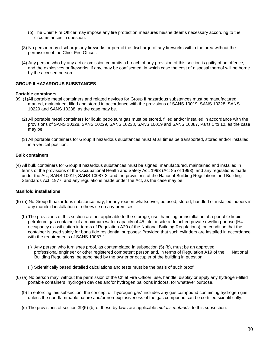- (b) The Chief Fire Officer may impose any fire protection measures he/she deems necessary according to the circumstances in question.
- (3) No person may discharge any fireworks or permit the discharge of any fireworks within the area without the permission of the Chief Fire Officer.
- (4) Any person who by any act or omission commits a breach of any provision of this section is guilty of an offence, and the explosives or fireworks, if any, may be confiscated, in which case the cost of disposal thereof will be borne by the accused person.

#### **GROUP II HAZARDOUS SUBSTANCES**

#### **Portable containers**

- 39. (1)All portable metal containers and related devices for Group II hazardous substances must be manufactured, marked, maintained, filled and stored in accordance with the provisions of SANS 10019, SANS 10228, SANS 10229 and SANS 10238, as the case may be.
	- (2) All portable metal containers for liquid petroleum gas must be stored, filled and/or installed in accordance with the provisions of SANS 10228, SANS 10229, SANS 10238, SANS 10019 and SANS 10087, Parts 1 to 10, as the case may be.
	- (3) All portable containers for Group II hazardous substances must at all times be transported, stored and/or installed in a vertical position.

#### **Bulk containers**

(4) All bulk containers for Group II hazardous substances must be signed, manufactured, maintained and installed in terms of the provisions of the Occupational Health and Safety Act, 1993 (Act 85 of 1993), and any regulations made under the Act; SANS 10019; SANS 10087-3; and the provisions of the National Building Regulations and Building Standards Act, 1977, and any regulations made under the Act, as the case may be.

#### **Manifold installations**

- (5) (a) No Group II hazardous substance may, for any reason whatsoever, be used, stored, handled or installed indoors in any manifold installation or otherwise on any premises.
	- (b) The provisions of this section are not applicable to the storage, use, handling or installation of a portable liquid petroleum gas container of a maximum water capacity of 45 Liter inside a detached private dwelling-house (H4 occupancy classification in terms of Regulation A20 of the National Building Regulations), on condition that the container is used solely for bona fide residential purposes: Provided that such cylinders are installed in accordance with the requirements of SANS 10087-1.
		- (i) Any person who furnishes proof, as contemplated in subsection (5) (b), must be an approved professional engineer or other registered competent person and, in terms of Regulation A19 of the National Building Regulations, be appointed by the owner or occupier of the building in question.
		- (ii) Scientifically based detailed calculations and tests must be the basis of such proof.
- (6) (a) No person may, without the permission of the Chief Fire Officer, use, handle, display or apply any hydrogen-filled portable containers, hydrogen devices and/or hydrogen balloons indoors, for whatever purpose.
	- (b) In enforcing this subsection, the concept of "hydrogen gas" includes any gas compound containing hydrogen gas, unless the non-flammable nature and/or non-explosiveness of the gas compound can be certified scientifically.
	- (c) The provisions of section 39(5) (b) of these by-laws are applicable *mutatis mutandis* to this subsection.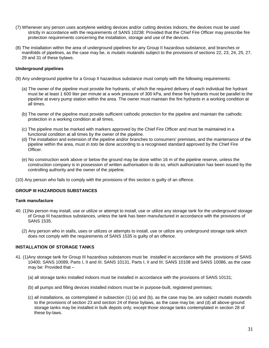- (7) Whenever any person uses acetylene welding devices and/or cutting devices indoors, the devices must be used strictly in accordance with the requirements of SANS 10238: Provided that the Chief Fire Officer may prescribe fire protection requirements concerning the installation, storage and use of the devices.
- (8) The installation within the area of underground pipelines for any Group II hazardous substance, and branches or manifolds of pipelines, as the case may be, is *mutatis mutandis* subject to the provisions of sections 22, 23, 24, 25, 27, 29 and 31 of these bylaws.

## **Underground pipelines**

- (9) Any underground pipeline for a Group II hazardous substance must comply with the following requirements:
	- (a) The owner of the pipeline must provide fire hydrants, of which the required delivery of each individual fire hydrant must be at least 1 600 liter per minute at a work pressure of 300 kPa, and these fire hydrants must be parallel to the pipeline at every pump station within the area. The owner must maintain the fire hydrants in a working condition at all times.
	- (b) The owner of the pipeline must provide sufficient cathodic protection for the pipeline and maintain the cathodic protection in a working condition at all times.
	- (c) The pipeline must be marked with markers approved by the Chief Fire Officer and must be maintained in a functional condition at all times by the owner of the pipeline.
	- (d) The installation and extension of the pipeline and/or branches to consumers' premises, and the maintenance of the pipeline within the area, must *in toto* be done according to a recognised standard approved by the Chief Fire Officer.
	- (e) No construction work above or below the ground may be done within 16 m of the pipeline reserve, unless the construction company is in possession of written authorisation to do so, which authorization has been issued by the controlling authority and the owner of the pipeline.
- (10) Any person who fails to comply with the provisions of this section is guilty of an offence.

## **GROUP III HAZARDOUS SUBSTANCES**

#### **Tank manufacture**

- 40. (1)No person may install, use or utilize or attempt to install, use or utilize any storage tank for the underground storage of Group III hazardous substances, unless the tank has been manufactured in accordance with the provisions of SANS 1535.
	- (2) Any person who in stalls, uses or utilizes or attempts to install, use or utilize any underground storage tank which does not comply with the requirements of SANS 1535 is guilty of an offence.

#### **INSTALLATION OF STORAGE TANKS**

- 41. (1)Any storage tank for Group III hazardous substances must be installed in accordance with the provisions of SANS 10400; SANS 10089, Parts I, II and III; SANS 10131, Parts I, II and III; SANS 10108 and SANS 10086, as the case may be: Provided that –
	- (a) all storage tanks installed indoors must be installed in accordance with the provisions of SANS 10131;
	- (b) all pumps and filling devices installed indoors must be in purpose-built, registered premises;
	- (c) all installations, as contemplated in subsection (1) (a) and (b), as the case may be, are subject *mutatis mutandis*  to the provisions of section 23 and section 24 of these bylaws, as the case may be; and (d) all above-ground storage tanks may be installed in bulk depots only, except those storage tanks contemplated in section 28 of these by-laws.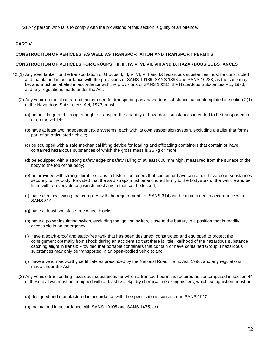(2) Any person who fails to comply with the provisions of this section is guilty of an offence.

## **PART V**

## **CONSTRUCTION OF VEHICLES, AS WELL AS TRANSPORTATION AND TRANSPORT PERMITS**

## **CONSTRUCTION OF VEHICLES FOR GROUPS I, II, III, IV, V, VI, VII, VIII AND IX HAZARDOUS SUBSTANCES**

- 42.(1) Any road tanker for the transportation of Groups II, III, V, VI, VIII and IX hazardous substances must be constructed and maintained in accordance with the provisions of SANS 10189, SANS 1398 and SANS 10233, as the case may be, and must be labeled in accordance with the provisions of SANS 10232, the Hazardous Substances Act, 1973, and any regulations made under the Act.
	- (2) Any vehicle other than a road tanker used for transporting any hazardous substance, as contemplated in section 2(1) of the Hazardous Substances Act, 1973, must –
		- (a) be built large and strong enough to transport the quantity of hazardous substances intended to be transported in or on the vehicle;
		- (b) have at least two independent axle systems, each with its own suspension system, excluding a trailer that forms part of an articulated vehicle;
		- (c) be equipped with a safe mechanical lifting device for loading and offloading containers that contain or have contained hazardous substances of which the gross mass is 25 kg or more;
		- (d) be equipped with a strong safety edge or safety railing of at least 600 mm high, measured from the surface of the body to the top of the body;
		- (e) be provided with strong, durable straps to fasten containers that contain or have contained hazardous substances securely to the body: Provided that the said straps must be anchored firmly to the bodywork of the vehicle and be fitted with a reversible cog winch mechanism that can be locked;
		- (f) have electrical wiring that complies with the requirements of SANS 314 and be maintained in accordance with SANS 314;
		- (g) have at least two static-free wheel blocks;
		- (h) have a power insulating switch, excluding the ignition switch, close to the battery in a position that is readily accessible in an emergency;
		- (i) have a spark-proof and static-free tank that has been designed, constructed and equipped to protect the consignment optimally from shock during an accident so that there is little likelihood of the hazardous substance catching alight in transit: Provided that portable containers that contain or have contained Group II hazardous substances may only be transported in an open-bodied vehicle; and
		- (j) have a valid roadworthy certificate as prescribed by the National Road Traffic Act, 1996, and any regulations made under the Act.
	- (3) Any vehicle transporting hazardous substances for which a transport permit is required as contemplated in section 44 of these by-laws must be equipped with at least two 9kg dry chemical fire extinguishers, which extinguishers must be –

(a) designed and manufactured in accordance with the specifications contained in SANS 1910;

(b) maintained in accordance with SANS 10105 and SANS 1475; and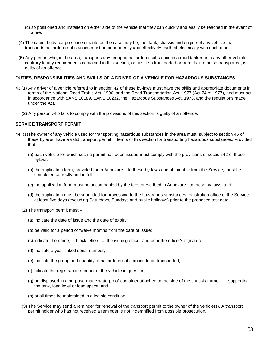- (c) so positioned and installed on either side of the vehicle that they can quickly and easily be reached in the event of a fire.
- (4) The cabin, body, cargo space or tank, as the case may be, fuel tank, chassis and engine of any vehicle that transports hazardous substances must be permanently and effectively earthed electrically with each other.
- (5) Any person who, in the area, transports any group of hazardous substance in a road tanker or in any other vehicle contrary to any requirements contained in this section, or has it so transported or permits it to be so transported, is guilty of an offence.

#### **DUTIES, RESPONSIBILITIES AND SKILLS OF A DRIVER OF A VEHICLE FOR HAZARDOUS SUBSTANCES**

- 43.(1) Any driver of a vehicle referred to in section 42 of these by-laws must have the skills and appropriate documents in terms of the National Road Traffic Act, 1996, and the Road Transportation Act, 1977 (Act 74 of 1977), and must act in accordance with SANS 10189, SANS 10232, the Hazardous Substances Act, 1973, and the regulations made under the Act.
	- (2) Any person who fails to comply with the provisions of this section is guilty of an offence.

#### **SERVICE TRANSPORT PERMIT**

- 44. (1)The owner of any vehicle used for transporting hazardous substances in the area must, subject to section 45 of these bylaws, have a valid transport permit in terms of this section for transporting hazardous substances: Provided that –
	- (a) each vehicle for which such a permit has been issued must comply with the provisions of section 42 of these bylaws;
	- (b) the application form, provided for in Annexure II to these by-laws and obtainable from the Service, must be completed correctly and in full;
	- (c) the application form must be accompanied by the fees prescribed in Annexure I to these by-laws; and
	- (d) the application must be submitted for processing to the hazardous substances registration office of the Service at least five days (excluding Saturdays, Sundays and public holidays) prior to the proposed test date.
	- (2) The transport permit must
		- (a) indicate the date of issue and the date of expiry;
		- (b) be valid for a period of twelve months from the date of issue;
		- (c) indicate the name, in block letters, of the issuing officer and bear the officer's signature;
		- (d) indicate a year-linked serial number;
		- (e) indicate the group and quantity of hazardous substances to be transported;
		- (f) indicate the registration number of the vehicle in question;
		- (g) be displayed in a purpose-made waterproof container attached to the side of the chassis frame supporting the tank, load level or load space; and
		- (h) at all times be maintained in a legible condition.
	- (3) The Service may send a reminder for renewal of the transport permit to the owner of the vehicle(s). A transport permit holder who has not received a reminder is not indemnified from possible prosecution.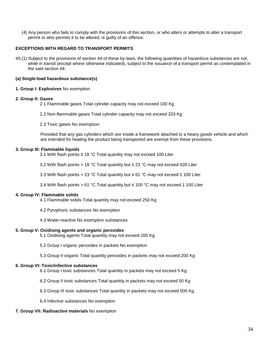(4) Any person who fails to comply with the provisions of this section, or who alters or attempts to alter a transport permit or who permits it to be altered, is guilty of an offence.

## **EXCEPTIONS WITH REGARD TO TRANSPORT PERMITS**

45.(1) Subject to the provisions of section 44 of these by-laws, the following quantities of hazardous substances are not, while in transit (except where otherwise indicated), subject to the issuance of a transport permit as contemplated in the said section 44:

## **(a) Single-load hazardous substance(s)**

#### **1. Group I: Explosives** No exemption

#### **2. Group II: Gases**

- 2.1 Flammable gases Total cylinder capacity may not exceed 100 Kg
- 2.2 Non-flammable gases Total cylinder capacity may not exceed 333 Kg
- 2.3 Toxic gases No exemption:

Provided that any gas cylinders which are inside a framework attached to a heavy goods vehicle and which are intended for heating the product being transported are exempt from these provisions.

#### **3. Group III: Flammable liquids**

- 3.1 With flash points ≤ 18 °C Total quantity may not exceed 100 Liter
- 3.2 With flash points > 18 °C Total quantity but  $\leq$  23 °C may not exceed 420 Liter
- 3.3 With flash points > 23 °C Total quantity but ≤ 61 °C may not exceed 1 100 Liter
- 3.4 With flash points > 61 °C Total quantity but ≤ 100 °C may not exceed 1 100 Liter

#### **4. Group IV: Flammable solids**

- 4.1 Flammable solids Total quantity may not exceed 250 Kg
- 4.2 Pyrophoric substances No exemption
- 4.3 Water-reactive No exemption substances

#### **5. Group V: Oxidising agents and organic peroxides**

- 5.1 Oxidising agents Total quantity may not exceed 200 Kg
- 5.2 Group I organic peroxides in packets No exemption
- 5.3 Group II organic Total quantity peroxides in packets may not exceed 200 Kg

#### **6. Group VI: Toxic/infective substances**

- 6.1 Group I toxic substances Total quantity in packets may not exceed 5 Kg
- 6.2 Group II toxic substances Total quantity in packets may not exceed 50 Kg
- 6.3 Group III toxic substances Total quantity in packets may not exceed 500 Kg
- 6.4 Infective substances No exemption

## **7. Group VII: Radioactive materials** No exemption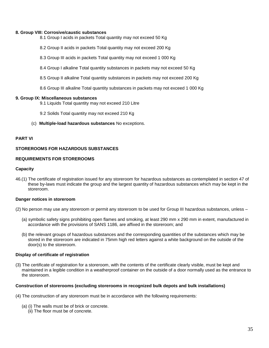#### **8. Group VIII: Corrosive/caustic substances**

- 8.1 Group I acids in packets Total quantity may not exceed 50 Kg
- 8.2 Group II acids in packets Total quantity may not exceed 200 Kg
- 8.3 Group III acids in packets Total quantity may not exceed 1 000 Kg
- 8.4 Group I alkaline Total quantity substances in packets may not exceed 50 Kg
- 8.5 Group II alkaline Total quantity substances in packets may not exceed 200 Kg
- 8.6 Group III alkaline Total quantity substances in packets may not exceed 1 000 Kg

#### **9. Group IX: Miscellaneous substances**

- 9.1 Liquids Total quantity may not exceed 210 Litre
- 9.2 Solids Total quantity may not exceed 210 Kg
- (c) **Multiple-load hazardous substances** No exceptions.

#### **PART VI**

#### **STOREROOMS FOR HAZARDOUS SUBSTANCES**

#### **REQUIREMENTS FOR STOREROOMS**

#### **Capacity**

46.(1) The certificate of registration issued for any storeroom for hazardous substances as contemplated in section 47 of these by-laws must indicate the group and the largest quantity of hazardous substances which may be kept in the storeroom.

#### **Danger notices in storeroom**

- (2) No person may use any storeroom or permit any storeroom to be used for Group III hazardous substances, unless
	- (a) symbolic safety signs prohibiting open flames and smoking, at least 290 mm x 290 mm in extent, manufactured in accordance with the provisions of SANS 1186, are affixed in the storeroom; and
	- (b) the relevant groups of hazardous substances and the corresponding quantities of the substances which may be stored in the storeroom are indicated in 75mm high red letters against a white background on the outside of the door(s) to the storeroom.

#### **Display of certificate of registration**

(3) The certificate of registration for a storeroom, with the contents of the certificate clearly visible, must be kept and maintained in a legible condition in a weatherproof container on the outside of a door normally used as the entrance to the storeroom.

#### **Construction of storerooms (excluding storerooms in recognized bulk depots and bulk installations)**

- (4) The construction of any storeroom must be in accordance with the following requirements:
	- (a) (i) The walls must be of brick or concrete.
		- (ii) The floor must be of concrete.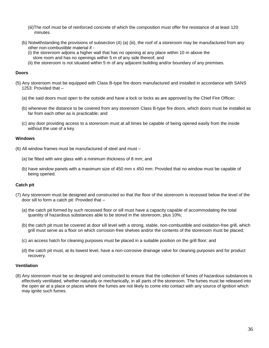- (iii)The roof must be of reinforced concrete of which the composition must offer fire resistance of at least 120 minutes.
- (b) Notwithstanding the provisions of subsection (4) (a) (iii), the roof of a storeroom may be manufactured from any other non-combustible material if -
	- (i) the storeroom adjoins a higher wall that has no opening at any place within 10 m above the store room and has no openings within 5 m of any side thereof; and
	- (ii) the storeroom is not situated within 5 m of any adjacent building and/or boundary of any premises.

#### **Doors**

- (5) Any storeroom must be equipped with Class B-type fire doors manufactured and installed in accordance with SANS 1253: Provided that –
	- (a) the said doors must open to the outside and have a lock or locks as are approved by the Chief Fire Officer;
	- (b) whenever the distance to be covered from any storeroom Class B-type fire doors, which doors must be installed as far from each other as is practicable; and
	- (c) any door providing access to a storeroom must at all times be capable of being opened easily from the inside without the use of a key.

#### **Windows**

- (6) All window frames must be manufactured of steel and must
	- (a) be fitted with wire glass with a minimum thickness of 8 mm; and
	- (b) have window panels with a maximum size of 450 mm x 450 mm: Provided that no window must be capable of being opened.

## **Catch pit**

- (7) Any storeroom must be designed and constructed so that the floor of the storeroom is recessed below the level of the door sill to form a catch pit: Provided that –
	- (a) the catch pit formed by such recessed floor or sill must have a capacity capable of accommodating the total quantity of hazardous substances able to be stored in the storeroom, plus 10%;
	- (b) the catch pit must be covered at door sill level with a strong, stable, non-combustible and oxidation-free grill, which grill must serve as a floor on which corrosion-free shelves and/or the contents of the storeroom must be placed;
	- (c) an access hatch for cleaning purposes must be placed in a suitable position on the grill floor; and
	- (d) the catch pit must, at its lowest level, have a non-corrosive drainage valve for cleaning purposes and for product recovery.

#### **Ventilation**

(8) Any storeroom must be so designed and constructed to ensure that the collection of fumes of hazardous substances is effectively ventilated, whether naturally or mechanically, in all parts of the storeroom. The fumes must be released into the open air at a place or places where the fumes are not likely to come into contact with any source of ignition which may ignite such fumes.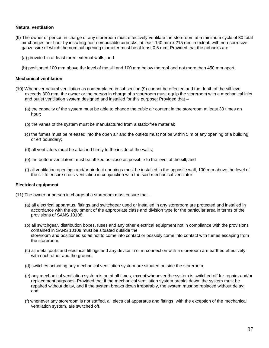#### **Natural ventilation**

- (9) The owner or person in charge of any storeroom must effectively ventilate the storeroom at a minimum cycle of 30 total air changes per hour by installing non-combustible airbricks, at least 140 mm x 215 mm in extent, with non-corrosive gauze wire of which the nominal opening diameter must be at least 0,5 mm: Provided that the airbricks are –
	- (a) provided in at least three external walls; and
	- (b) positioned 100 mm above the level of the sill and 100 mm below the roof and not more than 450 mm apart.

#### **Mechanical ventilation**

- (10) Whenever natural ventilation as contemplated in subsection (9) cannot be effected and the depth of the sill level exceeds 300 mm, the owner or the person in charge of a storeroom must equip the storeroom with a mechanical inlet and outlet ventilation system designed and installed for this purpose: Provided that –
	- (a) the capacity of the system must be able to change the cubic air content in the storeroom at least 30 times an hour;
	- (b) the vanes of the system must be manufactured from a static-free material;
	- (c) the fumes must be released into the open air and the outlets must not be within 5 m of any opening of a building or erf boundary;
	- (d) all ventilators must be attached firmly to the inside of the walls;
	- (e) the bottom ventilators must be affixed as close as possible to the level of the sill; and
	- (f) all ventilation openings and/or air duct openings must be installed in the opposite wall, 100 mm above the level of the sill to ensure cross-ventilation in conjunction with the said mechanical ventilator.

#### **Electrical equipment**

- (11) The owner or person in charge of a storeroom must ensure that
	- (a) all electrical apparatus, fittings and switchgear used or installed in any storeroom are protected and installed in accordance with the equipment of the appropriate class and division type for the particular area in terms of the provisions of SANS 10108;
	- (b) all switchgear, distribution boxes, fuses and any other electrical equipment not in compliance with the provisions contained in SANS 10108 must be situated outside the storeroom and positioned so as not to come into contact or possibly come into contact with fumes escaping from the storeroom;
	- (c) all metal parts and electrical fittings and any device in or in connection with a storeroom are earthed effectively with each other and the ground;
	- (d) switches actuating any mechanical ventilation system are situated outside the storeroom;
	- (e) any mechanical ventilation system is on at all times, except whenever the system is switched off for repairs and/or replacement purposes: Provided that if the mechanical ventilation system breaks down, the system must be repaired without delay, and if the system breaks down irreparably, the system must be replaced without delay; and
	- (f) whenever any storeroom is not staffed, all electrical apparatus and fittings, with the exception of the mechanical ventilation system, are switched off.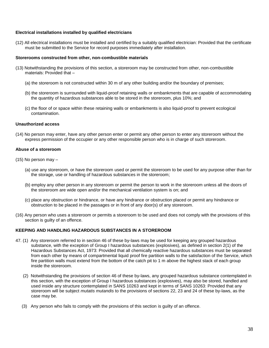#### **Electrical installations installed by qualified electricians**

(12) All electrical installations must be installed and certified by a suitably qualified electrician: Provided that the certificate must be submitted to the Service for record purposes immediately after installation.

#### **Storerooms constructed from other, non-combustible materials**

- (13) Notwithstanding the provisions of this section, a storeroom may be constructed from other, non-combustible materials: Provided that –
	- (a) the storeroom is not constructed within 30 m of any other building and/or the boundary of premises;
	- (b) the storeroom is surrounded with liquid-proof retaining walls or embankments that are capable of accommodating the quantity of hazardous substances able to be stored in the storeroom, plus 10%; and
	- (c) the floor of or space within these retaining walls or embankments is also liquid-proof to prevent ecological contamination.

#### **Unauthorized access**

(14) No person may enter, have any other person enter or permit any other person to enter any storeroom without the express permission of the occupier or any other responsible person who is in charge of such storeroom.

#### **Abuse of a storeroom**

- (15) No person may
	- (a) use any storeroom, or have the storeroom used or permit the storeroom to be used for any purpose other than for the storage, use or handling of hazardous substances in the storeroom;
	- (b) employ any other person in any storeroom or permit the person to work in the storeroom unless all the doors of the storeroom are wide open and/or the mechanical ventilation system is on; and
	- (c) place any obstruction or hindrance, or have any hindrance or obstruction placed or permit any hindrance or obstruction to be placed in the passages or in front of any door(s) of any storeroom.
- (16) Any person who uses a storeroom or permits a storeroom to be used and does not comply with the provisions of this section is guilty of an offence.

## **KEEPING AND HANDLING HAZARDOUS SUBSTANCES IN A STOREROOM**

- 47. (1) Any storeroom referred to in section 46 of these by-laws may be used for keeping any grouped hazardous substance, with the exception of Group I hazardous substances (explosives), as defined in section 2(1) of the Hazardous Substances Act, 1973: Provided that all chemically reactive hazardous substances must be separated from each other by means of compartmental liquid proof fire partition walls to the satisfaction of the Service, which fire partition walls must extend from the bottom of the catch pit to 1 m above the highest stack of each group inside the storeroom.
	- (2) Notwithstanding the provisions of section 46 of these by-laws, any grouped hazardous substance contemplated in this section, with the exception of Group I hazardous substances (explosives), may also be stored, handled and used inside any structure contemplated in SANS 10263 and kept in terms of SANS 10263: Provided that any storeroom will be subject *mutatis mutandis* to the provisions of sections 22, 23 and 24 of these by-laws, as the case may be.
	- (3) Any person who fails to comply with the provisions of this section is guilty of an offence.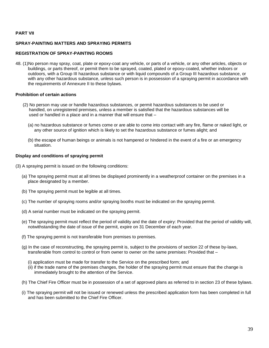#### **PART VII**

## **SPRAY-PAINTING MATTERS AND SPRAYING PERMITS**

#### **REGISTRATION OF SPRAY-PAINTING ROOMS**

48. (1)No person may spray, coat, plate or epoxy-coat any vehicle, or parts of a vehicle, or any other articles, objects or buildings, or parts thereof, or permit them to be sprayed, coated, plated or epoxy-coated, whether indoors or outdoors, with a Group III hazardous substance or with liquid compounds of a Group III hazardous substance, or with any other hazardous substance, unless such person is in possession of a spraying permit in accordance with the requirements of Annexure II to these bylaws.

#### **Prohibition of certain actions**

- (2) No person may use or handle hazardous substances, or permit hazardous substances to be used or handled, on unregistered premises, unless a member is satisfied that the hazardous substances will be used or handled in a place and in a manner that will ensure that –
	- (a) no hazardous substance or fumes come or are able to come into contact with any fire, flame or naked light, or any other source of ignition which is likely to set the hazardous substance or fumes alight; and
	- (b) the escape of human beings or animals is not hampered or hindered in the event of a fire or an emergency situation.

#### **Display and conditions of spraying permit**

- (3) A spraying permit is issued on the following conditions:
	- (a) The spraying permit must at all times be displayed prominently in a weatherproof container on the premises in a place designated by a member.
	- (b) The spraying permit must be legible at all times.
	- (c) The number of spraying rooms and/or spraying booths must be indicated on the spraying permit.
	- (d) A serial number must be indicated on the spraying permit.
	- (e) The spraying permit must reflect the period of validity and the date of expiry: Provided that the period of validity will, notwithstanding the date of issue of the permit, expire on 31 December of each year.
	- (f) The spraying permit is not transferable from premises to premises.
	- (g) In the case of reconstructing, the spraying permit is, subject to the provisions of section 22 of these by-laws, transferable from control to control or from owner to owner on the same premises: Provided that –
		- (i) application must be made for transfer to the Service on the prescribed form; and
		- (ii) if the trade name of the premises changes, the holder of the spraying permit must ensure that the change is immediately brought to the attention of the Service.
	- (h) The Chief Fire Officer must be in possession of a set of approved plans as referred to in section 23 of these bylaws.
	- (i) The spraying permit will not be issued or renewed unless the prescribed application form has been completed in full and has been submitted to the Chief Fire Officer.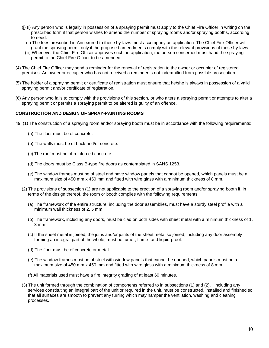- (j) (i) Any person who is legally in possession of a spraying permit must apply to the Chief Fire Officer in writing on the prescribed form if that person wishes to amend the number of spraying rooms and/or spraying booths, according to need.
	- (ii) The fees prescribed in Annexure I to these by-laws must accompany an application. The Chief Fire Officer will grant the spraying permit only if the proposed amendments comply with the relevant provisions of these by-laws.
	- (iii) Whenever the Chief Fire Officer approves such an application, the person concerned must hand the spraying permit to the Chief Fire Officer to be amended.
- (4) The Chief Fire Officer may send a reminder for the renewal of registration to the owner or occupier of registered premises. An owner or occupier who has not received a reminder is not indemnified from possible prosecution.
- (5) The holder of a spraying permit or certificate of registration must ensure that he/she is always in possession of a valid spraying permit and/or certificate of registration.
- (6) Any person who fails to comply with the provisions of this section, or who alters a spraying permit or attempts to alter a spraying permit or permits a spraying permit to be altered is guilty of an offence.

## **CONSTRUCTION AND DESIGN OF SPRAY-PAINTING ROOMS**

- 49. (1) The construction of a spraying room and/or spraying booth must be in accordance with the following requirements:
	- (a) The floor must be of concrete.
	- (b) The walls must be of brick and/or concrete.
	- (c) The roof must be of reinforced concrete.
	- (d) The doors must be Class B-type fire doors as contemplated in SANS 1253.
	- (e) The window frames must be of steel and have window panels that cannot be opened, which panels must be a maximum size of 450 mm x 450 mm and fitted with wire glass with a minimum thickness of 8 mm.
	- (2) The provisions of subsection (1) are not applicable to the erection of a spraying room and/or spraying booth if, in terms of the design thereof, the room or booth complies with the following requirements:
		- (a) The framework of the entire structure, including the door assemblies, must have a sturdy steel profile with a minimum wall thickness of 2, 5 mm.
		- (b) The framework, including any doors, must be clad on both sides with sheet metal with a minimum thickness of 1, 3 mm.
		- (c) If the sheet metal is joined, the joins and/or joints of the sheet metal so joined, including any door assembly forming an integral part of the whole, must be fume-, flame- and liquid-proof.
		- (d) The floor must be of concrete or metal.
		- (e) The window frames must be of steel with window panels that cannot be opened, which panels must be a maximum size of 450 mm x 450 mm and fitted with wire glass with a minimum thickness of 8 mm.
		- (f) All materials used must have a fire integrity grading of at least 60 minutes.
	- (3) The unit formed through the combination of components referred to in subsections (1) and (2), including any services constituting an integral part of the unit or required in the unit, must be constructed, installed and finished so that all surfaces are smooth to prevent any furring which may hamper the ventilation, washing and cleaning processes.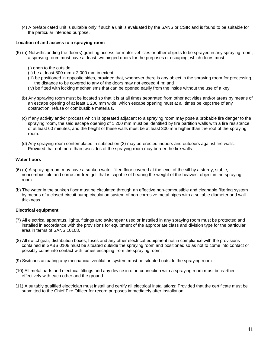(4) A prefabricated unit is suitable only if such a unit is evaluated by the SANS or CSIR and is found to be suitable for the particular intended purpose.

#### **Location of and access to a spraying room**

- (5) (a) Notwithstanding the door(s) granting access for motor vehicles or other objects to be sprayed in any spraying room, a spraying room must have at least two hinged doors for the purposes of escaping, which doors must –
	- (i) open to the outside;
	- (ii) be at least 800 mm x 2 000 mm in extent;
	- (iii) be positioned in opposite sides, provided that, whenever there is any object in the spraying room for processing, the distance to be covered to any of the doors may not exceed 4 m; and
	- (iv) be fitted with locking mechanisms that can be opened easily from the inside without the use of a key.
	- (b) Any spraying room must be located so that it is at all times separated from other activities and/or areas by means of an escape opening of at least 1 200 mm wide, which escape opening must at all times be kept free of any obstruction, refuse or combustible materials.
	- (c) If any activity and/or process which is operated adjacent to a spraying room may pose a probable fire danger to the spraying room, the said escape opening of 1 200 mm must be identified by fire partition walls with a fire resistance of at least 60 minutes, and the height of these walls must be at least 300 mm higher than the roof of the spraying room.
	- (d) Any spraying room contemplated in subsection (2) may be erected indoors and outdoors against fire walls: Provided that not more than two sides of the spraying room may border the fire walls.

#### **Water floors**

- (6) (a) A spraying room may have a sunken water-filled floor covered at the level of the sill by a sturdy, stable, noncombustible and corrosion-free grill that is capable of bearing the weight of the heaviest object in the spraying room.
- (b) The water in the sunken floor must be circulated through an effective non-combustible and cleanable filtering system by means of a closed-circuit pump circulation system of non-corrosive metal pipes with a suitable diameter and wall thickness.

## **Electrical equipment**

- (7) All electrical apparatus, lights, fittings and switchgear used or installed in any spraying room must be protected and installed in accordance with the provisions for equipment of the appropriate class and division type for the particular area in terms of SANS 10108.
- (8) All switchgear, distribution boxes, fuses and any other electrical equipment not in compliance with the provisions contained in SABS 0108 must be situated outside the spraying room and positioned so as not to come into contact or possibly come into contact with fumes escaping from the spraying room.
- (9) Switches actuating any mechanical ventilation system must be situated outside the spraying room.
- (10) All metal parts and electrical fittings and any device in or in connection with a spraying room must be earthed effectively with each other and the ground.
- (11) A suitably qualified electrician must install and certify all electrical installations: Provided that the certificate must be submitted to the Chief Fire Officer for record purposes immediately after installation.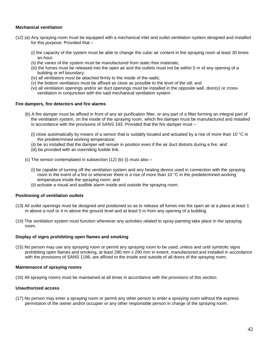## **Mechanical ventilation**

- (12) (a) Any spraying room must be equipped with a mechanical inlet and outlet ventilation system designed and installed for this purpose: Provided that –
	- (i) the capacity of the system must be able to change the cubic air content in the spraying room at least 30 times an hour;
	- (ii) the vanes of the system must be manufactured from static-free materials;
	- (iii) the fumes must be released into the open air and the outlets must not be within 5 m of any opening of a building or erf boundary;
	- (iv) all ventilators must be attached firmly to the inside of the walls;
	- (v) the bottom ventilators must be affixed as close as possible to the level of the sill; and
	- (vi) all ventilation openings and/or air duct openings must be installed in the opposite wall, door(s) or crossventilation in conjunction with the said mechanical ventilation system.

#### **Fire dampers, fire detectors and fire alarms**

- (b) A fire damper must be affixed in front of any air purification filter, or any part of a filter forming an integral part of the ventilation system, on the inside of the spraying room, which fire damper must be manufactured and installed in accordance with the provisions of SANS 193: Provided that the fire damper must –
	- (i) close automatically by means of a sensor that is suitably located and actuated by a rise of more than 10  $^{\circ}$ C in the predetermined working temperature;
	- (ii) be so installed that the damper will remain in position even if the air duct distorts during a fire; and
	- (iii) be provided with an overriding fusible link.
- (c) The sensor contemplated in subsection (12) (b) (i) must also
	- (i) be capable of turning off the ventilation system and any heating device used in connection with the spraying room in the event of a fire or whenever there is a rise of more than 10 °C in the predetermined working temperature inside the spraying room; and
	- (ii) activate a visual and audible alarm inside and outside the spraying room.

#### **Positioning of ventilation outlets**

- (13) All outlet openings must be designed and positioned so as to release all fumes into the open air at a place at least 1 m above a roof or 4 m above the ground level and at least 5 m from any opening of a building.
- (14) The ventilation system must function whenever any activities related to spray-painting take place in the spraying room.

#### **Display of signs prohibiting open flames and smoking**

(15) No person may use any spraying room or permit any spraying room to be used, unless and until symbolic signs prohibiting open flames and smoking, at least 290 mm x 290 mm in extent, manufactured and installed in accordance with the provisions of SANS 1186, are affixed to the inside and outside of all doors of the spraying room.

#### **Maintenance of spraying rooms**

(16) All spraying rooms must be maintained at all times in accordance with the provisions of this section.

## **Unauthorized access**

(17) No person may enter a spraying room or permit any other person to enter a spraying room without the express permission of the owner and/or occupier or any other responsible person in charge of the spraying room.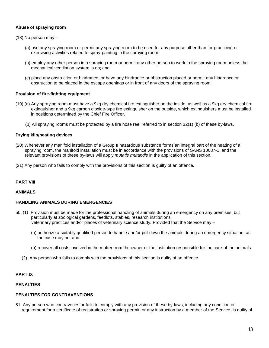#### **Abuse of spraying room**

- (18) No person may
	- (a) use any spraying room or permit any spraying room to be used for any purpose other than for practicing or exercising activities related to spray-painting in the spraying room;
	- (b) employ any other person in a spraying room or permit any other person to work in the spraying room unless the mechanical ventilation system is on; and
	- (c) place any obstruction or hindrance, or have any hindrance or obstruction placed or permit any hindrance or obstruction to be placed in the escape openings or in front of any doors of the spraying room.

#### **Provision of fire-fighting equipment**

- (19) (a) Any spraying room must have a 9kg dry chemical fire extinguisher on the inside, as well as a 9kg dry chemical fire extinguisher and a 9kg carbon dioxide-type fire extinguisher on the outside, which extinguishers must be installed in positions determined by the Chief Fire Officer.
	- (b) All spraying rooms must be protected by a fire hose reel referred to in section 32(1) (b) of these by-laws.

#### **Drying kiln/heating devices**

- (20) Whenever any manifold installation of a Group II hazardous substance forms an integral part of the heating of a spraying room, the manifold installation must be in accordance with the provisions of SANS 10087-1, and the relevant provisions of these by-laws will apply *mutatis mutandis* in the application of this section.
- (21) Any person who fails to comply with the provisions of this section is guilty of an offence.

#### **PART VIII**

#### **ANIMALS**

#### **HANDLING ANIMALS DURING EMERGENCIES**

- 50. (1) Provision must be made for the professional handling of animals during an emergency on any premises, but particularly at zoological gardens, feedlots, stables, research institutions, veterinary practices and/or places of veterinary science study: Provided that the Service may –
	- (a) authorize a suitably qualified person to handle and/or put down the animals during an emergency situation, as the case may be; and
	- (b) recover all costs involved in the matter from the owner or the institution responsible for the care of the animals.
	- (2) Any person who fails to comply with the provisions of this section is guilty of an offence.

#### **PART IX**

#### **PENALTIES**

## **PENALTIES FOR CONTRAVENTIONS**

51. Any person who contravenes or fails to comply with any provision of these by-laws, including any condition or requirement for a certificate of registration or spraying permit, or any instruction by a member of the Service, is guilty of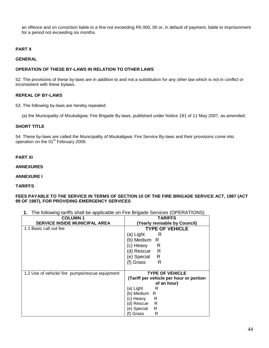an offence and on conviction liable to a fine not exceeding R5 000, 00 or, in default of payment, liable to imprisonment for a period not exceeding six months.

## **PART X**

#### **GENERAL**

## **OPERATION OF THESE BY-LAWS IN RELATION TO OTHER LAWS**

52. The provisions of these by-laws are in addition to and not a substitution for any other law which is not in conflict or inconsistent with these bylaws.

#### **REPEAL OF BY-LAWS**

53. The following by-laws are hereby repealed:

(a) the Municipality of Msukaligwa: Fire Brigade By-laws, published under Notice 181 of 11 May 2007, as amended;

## **SHORT TITLE**

54. These by-laws are called the Municipality of Msukaligwa: Fire Service By-laws and their provisions come into operation on the 01<sup>st</sup> February 2009.

## **PART XI**

#### **ANNEXURES**

#### **ANNEXURE I**

#### **TARIFFS**

#### **FEES PAYABLE TO THE SERVICE IN TERMS OF SECTION 10 OF THE FIRE BRIGADE SERVICE ACT, 1987 (ACT 99 OF 1987), FOR PROVIDING EMERGENCY SERVICES**

**1.** The following tariffs shall be applicable on Fire Brigade Services (OPERATIONS)

| <b>COLUMN1</b>                                  | TARIFFS                                 |
|-------------------------------------------------|-----------------------------------------|
| <b>SERVICE INSIDE MUNICIPAL AREA</b>            | (Yearly revisable by Council)           |
| 1.1 Basic call out fee                          | <b>TYPE OF VEHICLE</b>                  |
|                                                 | (a) Light<br>– R                        |
|                                                 | (b) Medium R                            |
|                                                 | (c) Heavy R                             |
|                                                 | (d) Rescue R                            |
|                                                 | R<br>(e) Special                        |
|                                                 | (f) Grass<br>R                          |
|                                                 |                                         |
| 1.2 Use of vehicle/ fire pumps/rescue equipment | <b>TYPE OF VEHICLE</b>                  |
|                                                 | (Tariff per vehicle per hour or portion |
|                                                 | of an hour)                             |
|                                                 | (a) Light<br>– R                        |
|                                                 | (b) Medium<br>- R                       |
|                                                 | (c) Heavy<br>R                          |
|                                                 | R<br>(d) Rescue                         |
|                                                 | (e) Special<br>R                        |
|                                                 | R<br>(f) Grass                          |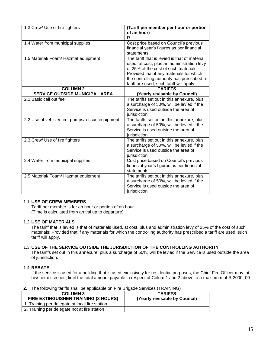| 1.3 Crew/ Use of fire fighters                  | (Tariff per member per hour or portion<br>of an hour)<br>R                                                                                                                                                                                                                 |
|-------------------------------------------------|----------------------------------------------------------------------------------------------------------------------------------------------------------------------------------------------------------------------------------------------------------------------------|
| 1.4 Water from municipal supplies               | Cost price based on Council's previous<br>financial year's figures as per financial<br>statements                                                                                                                                                                          |
| 1.5 Material/ Foam/ Hazmat equipment            | The tariff that is levied is that of material<br>used, at cost, plus an administration levy<br>of 25% of the cost of such materials:<br>Provided that if any materials for which<br>the controlling authority has prescribed a<br>tariff are used, such tariff will apply. |
| <b>COLUMN 2</b>                                 | <b>TARIFFS</b>                                                                                                                                                                                                                                                             |
| SERVICE OUTSIDE MUNICIPAL AREA                  | (Yearly revisable by Council)                                                                                                                                                                                                                                              |
| 2.1 Basic call out fee                          | The tariffs set out in this annexure, plus<br>a surcharge of 50%, will be levied if the<br>Service is used outside the area of<br>iurisdiction                                                                                                                             |
| 2.2 Use of vehicle/ fire pumps/rescue equipment | The tariffs set out in this annexure, plus<br>a surcharge of 50%, will be levied if the<br>Service is used outside the area of<br>jurisdiction                                                                                                                             |
| 2.3 Crew/ Use of fire fighters                  | The tariffs set out in this annexure, plus<br>a surcharge of 50%, will be levied if the<br>Service is used outside the area of<br>jurisdiction                                                                                                                             |
| 2.4 Water from municipal supplies               | Cost price based on Council's previous<br>financial year's figures as per financial<br>statements                                                                                                                                                                          |
| 2.5 Material/ Foam/ Hazmat equipment            | The tariffs set out in this annexure, plus<br>a surcharge of 50%, will be levied if the<br>Service is used outside the area of<br>jurisdiction                                                                                                                             |

#### 1.1. **USE OF CREW MEMBERS**

Tariff per member is for an hour or portion of an hour (Time is calculated from arrival up to departure)

## 1.2. **USE OF MATERIALS**

The tariff that is levied is that of materials used, at cost, plus and administration levy of 25% of the cost of such materials: Provided that if any materials for which the controlling authority has prescribed a tariff are used, such tariff will apply.

## 1.3. **USE OF THE SERVICE OUTSIDE THE JURISDICTION OF THE CONTROLLING AUTHORITY**

The tariffs set out in this annexure, plus a surcharge of 50%, will be levied if the Service is used outside the area of jurisdiction.

## 1.4. **REBATE**

If the service is used for a building that is used exclusively for residential purposes, the Chief Fire Officer may, at his/ her discretion, limit the total amount payable in respect of Colum 1 and 2 above to a maximum of R 2000, 00.

| 2. The following tariffs shall be applicable on Fire Brigade Services (TRAINING) |  |
|----------------------------------------------------------------------------------|--|
|                                                                                  |  |

| <b>COLUMN 3</b><br>FIRE EXTINGUISHER TRAINING (8 HOURS) | <b>TARIFFS</b><br>(Yearly revisable by Council) |
|---------------------------------------------------------|-------------------------------------------------|
| 1. Training per delegate at local fire station          |                                                 |
| 2. Training per delegate not at fire station            |                                                 |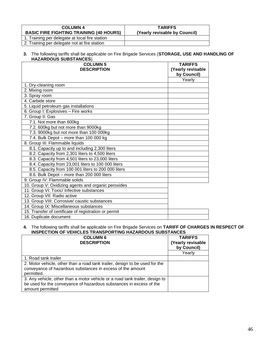| <b>COLUMN 4</b><br><b>BASIC FIRE FIGHTING TRAINING (40 HOURS)</b> | <b>TARIFFS</b><br>(Yearly revisable by Council) |
|-------------------------------------------------------------------|-------------------------------------------------|
| 1. Training per delegate at local fire station                    |                                                 |
| 2. Training per delegate not at fire station                      |                                                 |

#### **3.** The following tariffs shall be applicable on Fire Brigade Services (**STORAGE, USE AND HANDLING OF HAZARDOUS SUBSTANCES**).

| <b>COLUMN 5</b>                                       | <b>TARIFFS</b>    |
|-------------------------------------------------------|-------------------|
| <b>DESCRIPTION</b>                                    | (Yearly revisable |
|                                                       | by Council)       |
|                                                       | Yearly            |
| 1. Dry-cleaning room                                  |                   |
| 2. Mixing room                                        |                   |
| 3. Spray room                                         |                   |
| 4. Carbide store                                      |                   |
| 5. Liquid petroleum gas installations                 |                   |
| 6. Group I: Explosives - Fire works                   |                   |
| 7. Group II: Gas                                      |                   |
| 7.1. Not more than 600kg                              |                   |
| 7.2. 600kg but not more than 9000kg                   |                   |
| 7.3. 9000kg but not more than 100 000kg               |                   |
| 7.4. Bulk Depot - more than 100 000 kg                |                   |
| 8. Group III: Flammable liquids                       |                   |
| 8.1. Capacity up to and including 2,300 liters        |                   |
| 8.2. Capacity from 2,301 liters to 4,500 liters       |                   |
| 8.3. Capacity from 4,501 liters to 23,000 liters      |                   |
| 8.4. Capacity from 23,001 liters to 100 000 liters    |                   |
| 8.5. Capacity from 100 001 liters to 200 000 liters   |                   |
| 8.6. Bulk Depot - more than 200 000 liters            |                   |
| 9. Group IV: Flammable solids                         |                   |
| 10. Group V: Oxidizing agents and organic peroxides   |                   |
| 11. Group VI: Toxic/ Infective substances             |                   |
| 12. Group VII: Radio active                           |                   |
| 13. Group VIII: Corrosive/ caustic substances         |                   |
| 14. Group IX: Miscellaneous substances                |                   |
| 15. Transfer of certificate of registration or permit |                   |
| 16. Duplicate document:                               |                   |

#### **4.** The following tariffs shall be applicable on Fire Brigade Services on **TARIFF OF CHARGES IN RESPECT OF INSPECTION OF VEHICLES TRANSPORTING HAZARDOUS SUBSTANCES**

| <b>COLUMN 6</b><br><b>DESCRIPTION</b>                                        | <b>TARIFFS</b><br>(Yearly revisable<br>by Council) |
|------------------------------------------------------------------------------|----------------------------------------------------|
|                                                                              | Yearly                                             |
| 1. Road tank trailer                                                         |                                                    |
| 2. Motor vehicle, other than a road tank trailer, design to be used for the  |                                                    |
| conveyance of hazardous substances in excess of the amount                   |                                                    |
| permitted.                                                                   |                                                    |
| 3. Any vehicle, other than a motor vehicle or a road tank trailer, design to |                                                    |
| be used for the conveyance of hazardous substances in excess of the          |                                                    |
| amount permitted                                                             |                                                    |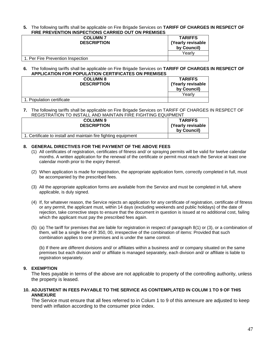**5.** The following tariffs shall be applicable on Fire Brigade Services on **TARIFF OF CHARGES IN RESPECT OF FIRE PREVENTION INSPECTIONS CARRIED OUT ON PREMISES**

| <b>COLUMN7</b>                    | <b>TARIFFS</b>    |
|-----------------------------------|-------------------|
| <b>DESCRIPTION</b>                | (Yearly revisable |
|                                   | by Council)       |
|                                   | Yearlv            |
| 1. Per Fire Prevention Inspection |                   |

**6.** The following tariffs shall be applicable on Fire Brigade Services on **TARIFF OF CHARGES IN RESPECT OF APPLICATION FOR POPULATION CERTIFICATES ON PREMISES**

| <b>COLUMN 8</b><br><b>DESCRIPTION</b> | <b>TARIFFS</b><br>(Yearly revisable<br>by Council) |
|---------------------------------------|----------------------------------------------------|
|                                       | Yearlv                                             |
| 1. Population certificate             |                                                    |

**7.** The following tariffs shall be applicable on Fire Brigade Services on TARIFF OF CHARGES IN RESPECT OF REGISTRATION TO INSTALL AND MAINTAIN FIRE FIGHTING EQUIPMENT

| <b>COLUMN 9</b><br><b>DESCRIPTION</b>                          | <b>TARIFFS</b><br>  (Yearly revisable<br>by Council) |
|----------------------------------------------------------------|------------------------------------------------------|
| 1. Certificate to install and maintain fire fighting equipment |                                                      |

## **8. GENERAL DIRECTIVES FOR THE PAYMENT OF THE ABOVE FEES**

- (1) All certificates of registration, certificates of fitness and/ or spraying permits will be valid for twelve calendar months. A written application for the renewal of the certificate or permit must reach the Service at least one calendar month prior to the expiry thereof.
- (2) When application is made for registration, the appropriate application form, correctly completed in full, must be accompanied by the prescribed fees.
- (3) All the appropriate application forms are available from the Service and must be completed in full, where applicable, is duly signed.
- (4) If, for whatever reason, the Service rejects an application for any certificate of registration, certificate of fitness or any permit, the applicant must, within 14 days (excluding weekends and public holidays) of the date of rejection, take corrective steps to ensure that the document in question is issued at no additional cost, failing which the applicant must pay the prescribed fees again.
- (5) (a) The tariff for premises that are liable for registration in respect of paragraph 8(1) or (3), or a combination of them, will be a single fee of R 350, 00, irrespective of the combination of items: Provided that such combination applies to one premises and is under the same control.

(b) If there are different divisions and/ or affiliates within a business and/ or company situated on the same premises but each division and/ or affiliate is managed separately, each division and/ or affiliate is liable to registration separately.

## **9. EXEMPTION**

The fees payable in terms of the above are not applicable to property of the controlling authority, unless the property is leased.

## **10. ADJUSTMENT IN FEES PAYABLE TO THE SERVICE AS CONTEMPLATED IN COLUM 1 TO 9 OF THIS ANNEXURE**

The Service must ensure that all fees referred to in Colum 1 to 9 of this annexure are adjusted to keep trend with inflation according to the consumer price index.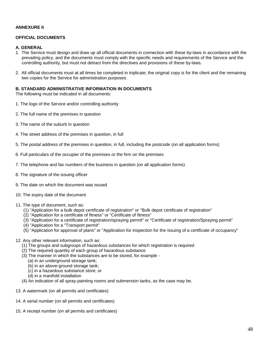## **ANNEXURE II**

## **OFFICIAL DOCUMENTS**

#### **A. GENERAL**

- 1. The Service must design and draw up all official documents in connection with these by-laws in accordance with the prevailing policy, and the documents must comply with the specific needs and requirements of the Service and the controlling authority, but must not detract from the directives and provisions of these by-laws.
- 2. All official documents must at all times be completed in triplicate; the original copy is for the client and the remaining two copies for the Service for administration purposes.

#### **B. STANDARD ADMINISTRATIVE INFORMATION IN DOCUMENTS**

The following must be indicated in all documents:

- 1. The logo of the Service and/or controlling authority
- 2. The full name of the premises in question
- 3. The name of the suburb in question
- 4. The street address of the premises in question, in full
- 5. The postal address of the premises in question, in full, including the postcode (on all application forms)
- 6. Full particulars of the occupier of the premises or the firm on the premises
- 7. The telephone and fax numbers of the business in question (on all application forms)
- 8. The signature of the issuing officer
- 9. The date on which the document was issued
- 10. The expiry date of the document
- 11. The type of document, such as:
	- (1) "Application for a bulk depot certificate of registration" or "Bulk depot certificate of registration"
	- (2) "Application for a certificate of fitness" or "Certificate of fitness"
	- (3) "Application for a certificate of registration/spraying permit" or "Certificate of registration/Spraying permit"
	- (4) "Application for a "Transport permit"
	- (5) "Application for approval of plans" or "Application for inspection for the issuing of a certificate of occupancy"
- 12. Any other relevant information, such as:
	- (1) The groups and subgroups of hazardous substances for which registration is required
	- (2) The required quantity of each group of hazardous substance
	- (3) The manner in which the substances are to be stored, for example
		- (a) in an underground storage tank;
		- (b) in an above-ground storage tank;
		- (c) in a hazardous substance store; or
		- (d) in a manifold installation
	- (4) An indication of all spray-painting rooms and submersion tanks, as the case may be.
- 13. A watermark (on all permits and certificates)
- 14. A serial number (on all permits and certificates)
- 15. A receipt number (on all permits and certificates)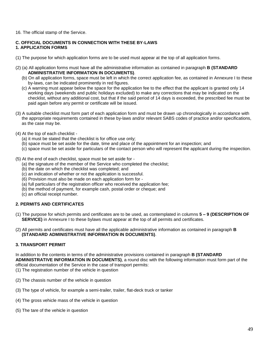16. The official stamp of the Service.

## **C. OFFICIAL DOCUMENTS IN CONNECTION WITH THESE BY-LAWS 1. APPLICATION FORMS**

- (1) The purpose for which application forms are to be used must appear at the top of all application forms.
- (2) (a) All application forms must have all the administrative information as contained in paragraph **B (STANDARD ADMINISTRATIVE INFORMATION IN DOCUMENTS)**.
	- (b) On all application forms, space must be left in which the correct application fee, as contained in Annexure I to these by-laws, can be indicated prominently in red figures.
	- (c) A warning must appear below the space for the application fee to the effect that the applicant is granted only 14 working days (weekends and public holidays excluded) to make any corrections that may be indicated on the checklist, without any additional cost, but that if the said period of 14 days is exceeded, the prescribed fee must be paid again before any permit or certificate will be issued.
- (3) A suitable checklist must form part of each application form and must be drawn up chronologically in accordance with the appropriate requirements contained in these by-laws and/or relevant SABS codes of practice and/or specifications, as the case may be.
- (4) At the top of each checklist
	- (a) it must be stated that the checklist is for office use only;
	- (b) space must be set aside for the date, time and place of the appointment for an inspection; and
	- (c) space must be set aside for particulars of the contact person who will represent the applicant during the inspection.
- (5) At the end of each checklist, space must be set aside for
	- (a) the signature of the member of the Service who completed the checklist;
	- (b) the date on which the checklist was completed; and
	- (c) an indication of whether or not the application is successful.
	- (6) Provision must also be made on each application form for -
	- (a) full particulars of the registration officer who received the application fee;
	- (b) the method of payment, for example cash, postal order or cheque; and
	- (c) an official receipt number.

## **2. PERMITS AND CERTIFICATES**

(1) The purpose for which permits and certificates are to be used, as contemplated in columns **5 – 9 (DESCRIPTION OF SERVICE)** in Annexure I to these bylaws must appear at the top of all permits and certificates.

(2) All permits and certificates must have all the applicable administrative information as contained in paragraph **B (STANDARD ADMINISTRATIVE INFORMATION IN DOCUMENTS)**.

## **3. TRANSPORT PERMIT**

In addition to the contents in terms of the administrative provisions contained in paragraph **B (STANDARD ADMINISTRATIVE INFORMATION IN DOCUMENTS)**, a round disc with the following information must form part of the official documentation of the Service in the case of transport permits:

- (1) The registration number of the vehicle in question
- (2) The chassis number of the vehicle in question
- (3) The type of vehicle, for example a semi-trailer, trailer, flat-deck truck or tanker
- (4) The gross vehicle mass of the vehicle in question
- (5) The tare of the vehicle in question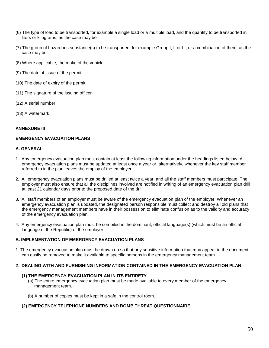- (6) The type of load to be transported, for example a single load or a multiple load, and the quantity to be transported in liters or kilograms, as the case may be
- (7) The group of hazardous substance(s) to be transported, for example Group I, II or III, or a combination of them, as the case may be
- (8) Where applicable, the make of the vehicle
- (9) The date of issue of the permit
- (10) The date of expiry of the permit
- (11) The signature of the issuing officer
- (12) A serial number
- (13) A watermark.

#### **ANNEXURE III**

## **EMERGENCY EVACUATION PLANS**

#### **A. GENERAL**

- 1. Any emergency evacuation plan must contain at least the following information under the headings listed below. All emergency evacuation plans must be updated at least once a year or, alternatively, whenever the key staff member referred to in the plan leaves the employ of the employer.
- 2. All emergency evacuation plans must be drilled at least twice a year, and all the staff members must participate. The employer must also ensure that all the disciplines involved are notified in writing of an emergency evacuation plan drill at least 21 calendar days prior to the proposed date of the drill.
- 3. All staff members of an employer must be aware of the emergency evacuation plan of the employer. Whenever an emergency evacuation plan is updated, the designated person responsible must collect and destroy all old plans that the emergency management members have in their possession to eliminate confusion as to the validity and accuracy of the emergency evacuation plan.
- 4. Any emergency evacuation plan must be compiled in the dominant, official language(s) (which must be an official language of the Republic) of the employer.

## **B. IMPLEMENTATION OF EMERGENCY EVACUATION PLANS**

1. The emergency evacuation plan must be drawn up so that any sensitive information that may appear in the document can easily be removed to make it available to specific persons in the emergency management team.

## **2**. **DEALING WITH AND FURNISHING INFORMATION CONTAINED IN THE EMERGENCY EVACUATION PLAN**

#### **(1) THE EMERGENCY EVACUATION PLAN IN ITS ENTIRETY**

- (a) The entire emergency evacuation plan must be made available to every member of the emergency management team.
- (b) A number of copies must be kept in a safe in the control room.

## **(2) EMERGENCY TELEPHONE NUMBERS AND BOMB THREAT QUESTIONNAIRE**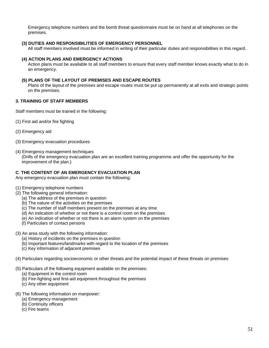Emergency telephone numbers and the bomb threat questionnaire must be on hand at all telephones on the premises.

## **(3) DUTIES AND RESPONSIBILITIES OF EMERGENCY PERSONNEL**

All staff members involved must be informed in writing of their particular duties and responsibilities in this regard.

#### **(4) ACTION PLANS AND EMERGENCY ACTIONS**

Action plans must be available to all staff members to ensure that every staff member knows exactly what to do in an emergency.

## **(5) PLANS OF THE LAYOUT OF PREMISES AND ESCAPE ROUTES**

Plans of the layout of the premises and escape routes must be put up permanently at all exits and strategic points on the premises.

## **3. TRAINING OF STAFF MEMBERS**

Staff members must be trained in the following:

- (1) First aid and/or fire fighting
- (2) Emergency aid
- (3) Emergency evacuation procedures
- (4) Emergency management techniques

(Drills of the emergency evacuation plan are an excellent training programme and offer the opportunity for the improvement of the plan.)

## **C**. **THE CONTENT OF AN EMERGENCY EVACUATION PLAN**

Any emergency evacuation plan must contain the following:

- (1) Emergency telephone numbers
- (2) The following general information:
	- (a) The address of the premises in question
	- (b) The nature of the activities on the premises
	- (c) The number of staff members present on the premises at any time
	- (d) An indication of whether or not there is a control room on the premises
	- (e) An indication of whether or not there is an alarm system on the premises
	- (f) Particulars of contact persons
- (3) An area study with the following information:
	- (a) History of incidents on the premises in question
	- (b) Important features/landmarks with regard to the location of the premises
	- (c) Key information of adjacent premises
- (4) Particulars regarding socioeconomic or other threats and the potential impact of these threats on premises
- (5) Particulars of the following equipment available on the premises:
	- (a) Equipment in the control room
	- (b) Fire-fighting and first-aid equipment throughout the premises
	- (c) Any other equipment

#### (6) The following information on manpower:

- (a) Emergency management
- (b) Continuity officers
- (c) Fire teams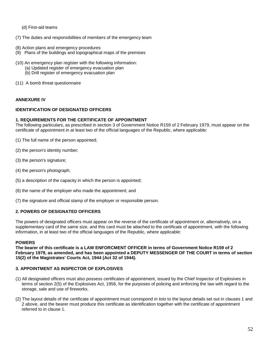(d) First-aid teams

(7) The duties and responsibilities of members of the emergency team

- (8) Action plans and emergency procedures
- (9) Plans of the buildings and topographical maps of the premises
- (10) An emergency plan register with the following information:
	- (a) Updated register of emergency evacuation plan
	- (b) Drill register of emergency evacuation plan
- (11) A bomb threat questionnaire

#### **ANNEXURE IV**

## **IDENTIFICATION OF DESIGNATED OFFICERS**

#### **1. REQUIREMENTS FOR THE CERTIFICATE OF APPOINTMENT**

The following particulars, as prescribed in section 3 of Government Notice R159 of 2 February 1979, must appear on the certificate of appointment in at least two of the official languages of the Republic, where applicable:

(1) The full name of the person appointed;

(2) the person's identity number;

- (3) the person's signature;
- (4) the person's photograph;
- (5) a description of the capacity in which the person is appointed;
- (6) the name of the employer who made the appointment; and
- (7) the signature and official stamp of the employer or responsible person.

#### **2. POWERS OF DESIGNATED OFFICERS**

The powers of designated officers must appear on the reverse of the certificate of appointment or, alternatively, on a supplementary card of the same size, and this card must be attached to the certificate of appointment, with the following information, in at least two of the official languages of the Republic, where applicable:

#### **POWERS**

**The bearer of this certificate is a LAW ENFORCMENT OFFICER in terms of Government Notice R159 of 2 February 1979, as amended, and has been appointed a DEPUTY MESSENGER OF THE COURT in terms of section 15(2) of the Magistrates' Courts Act, 1944 (Act 32 of 1944).**

#### **3. APPOINTMENT AS INSPECTOR OF EXPLOSIVES**

- (1) All designated officers must also possess certificates of appointment, issued by the Chief Inspector of Explosives in terms of section 2(5) of the Explosives Act, 1956, for the purposes of policing and enforcing the law with regard to the storage, sale and use of fireworks.
- (2) The layout details of the certificate of appointment must correspond *in toto* to the layout details set out in clauses 1 and 2 above, and the bearer must produce this certificate as identification together with the certificate of appointment referred to in clause 1.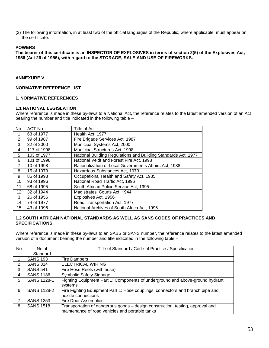(3) The following information, in at least two of the official languages of the Republic, where applicable, must appear on the certificate:

#### **POWERS**

**The bearer of this certificate is an INSPECTOR OF EXPLOSIVES in terms of section 2(5) of the Explosives Act, 1956 (Act 26 of 1956), with regard to the STORAGE, SALE AND USE OF FIREWORKS.**

#### **ANNEXURE V**

## **NORMATIVE REFERENCE LIST**

#### **1. NORMATIVE REFERENCES**

#### **1.1 NATIONAL LEGISLATION**

Where reference is made in these by-laws to a National Act, the reference relates to the latest amended version of an Act bearing the number and title indicated in the following table –

| <b>No</b>       | <b>ACT No</b> | Title of Act                                                   |
|-----------------|---------------|----------------------------------------------------------------|
|                 | 63 of 1977    | Health Act, 1977                                               |
| $\overline{2}$  | 99 of 1987    | Fire Brigade Services Act, 1987                                |
| 3               | 32 of 2000    | Municipal Systems Act, 2000                                    |
| 4               | 117 of 1998   | Municipal Structures Act, 1998                                 |
| 5               | 103 of 1977   | National Building Regulations and Building Standards Act, 1977 |
| 6               | 101 of 1998   | National Veldt and Forest Fire Act, 1998                       |
| 7               | 10 of 1998    | Rationalization of Local Governments Affairs Act, 1988         |
| 8               | 15 of 1973    | Hazardous Substances Act, 1973                                 |
| 9               | 85 of 1993    | Occupational Health and Safety Act, 1985                       |
| 10              | 93 of 1996    | National Road Traffic Act, 1996                                |
| 11              | 68 of 1995    | South African Police Service Act, 1995                         |
| 12 <sup>2</sup> | 32 of 1944    | Magistrates' Courts Act, 1944                                  |
| 3               | 26 of 1956    | Explosives Act, 1956                                           |
| 14              | 74 of 1977    | Road Transportation Act, 1977                                  |
| 15              | 43 of 1996    | National Archives of South Africa Act, 1996                    |

## **1.2 SOUTH AFRICAN NATIONAL STANDARDS AS WELL AS SANS CODES OF PRACTICES AND SPECIFICATIONS**

Where reference is made in these by-laws to an SABS or SANS number, the reference relates to the latest amended version of a document bearing the number and title indicated in the following table –

| No.            | No of              | Title of Standard / Code of Practice / Specification                           |
|----------------|--------------------|--------------------------------------------------------------------------------|
|                | Standard           |                                                                                |
|                | <b>SANS 193</b>    | Fire Dampers                                                                   |
| $\overline{2}$ | <b>SANS 314</b>    | <b>ELECTRICAL WIRING</b>                                                       |
| 3              | <b>SANS 541</b>    | Fire Hose Reels (with hose)                                                    |
| 4              | <b>SANS 1186</b>   | <b>Symbolic Safety Signage</b>                                                 |
| 5              | <b>SANS 1128-1</b> | Fighting Equipment Part 1: Components of underground and above-ground hydrant  |
|                |                    | systems                                                                        |
| 6              | <b>SANS 1128-2</b> | Fire Fighting Equipment Part 1: Hose couplings, connectors and branch pipe and |
|                |                    | nozzle connections                                                             |
| 7              | <b>SANS 1253</b>   | <b>Fire Door Assemblies</b>                                                    |
| 8              | <b>SANS 1518</b>   | Transportation of dangerous goods - design construction, testing, approval and |
|                |                    | maintenance of road vehicles and portable tanks                                |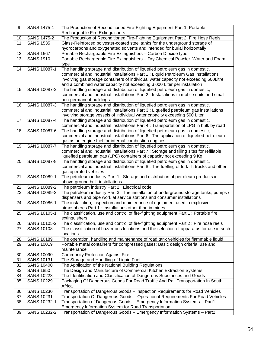| 9        | <b>SANS 1475-1</b>  | The Production of Reconditioned Fire-Fighting Equipment Part 1: Portable                                                                                                 |
|----------|---------------------|--------------------------------------------------------------------------------------------------------------------------------------------------------------------------|
|          | <b>SANS 1475-2</b>  | Rechargeable Fire Extinguishers<br>The Production of Reconditioned Fire-Fighting Equipment Part 2: Fire Hose Reels                                                       |
| 10<br>11 | <b>SANS 1535</b>    |                                                                                                                                                                          |
|          |                     | Glass-Reinforced polyester-coated steel tanks for the underground storage of<br>hydrocarbons and oxygenated solvents and intended for burial horizontally                |
| 12       | <b>SANS 1567</b>    | Portable Rechargeable Fire Extinguishers - Carbon Dioxide type                                                                                                           |
| 13       | <b>SANS 1910</b>    | Portable Rechargeable Fire Extinguishers - Dry Chemical Powder, Water and Foam                                                                                           |
|          |                     | type                                                                                                                                                                     |
| 14       | SANS 10087-1        | The handling storage and distribution of liquefied petroleum gas in domestic,                                                                                            |
|          |                     | commercial and industrial installations Part 1 : Liquid Petroleum Gas Installations                                                                                      |
|          |                     | involving gas storage containers of individual water capacity not exceeding 500Litre                                                                                     |
|          |                     | and a combined water capacity not exceeding 3 000 Liter per installation                                                                                                 |
| 15       | SANS 10087-2        | The handling storage and distribution of liquefied petroleum gas in domestic,                                                                                            |
|          |                     | commercial and industrial installations Part 2 : Installations in mobile units and small                                                                                 |
|          |                     | non-permanent buildings                                                                                                                                                  |
| 16       | SANS 10087-3        | The handling storage and distribution of liquefied petroleum gas in domestic,                                                                                            |
|          |                     | commercial and industrial installations Part 3 : Liquefied petroleum gas installations                                                                                   |
|          |                     | involving storage vessels of individual water capacity exceeding 500 Liter                                                                                               |
| 17       | <b>SANS 10087-4</b> | The handling storage and distribution of liquefied petroleum gas in domestic,                                                                                            |
|          |                     | commercial and industrial installations Part 4 : Transportation of LPG in bulk by road                                                                                   |
| 18       | SANS 10087-6        | The handling storage and distribution of liquefied petroleum gas in domestic,<br>commercial and industrial installations Part 6 : The application of liquefied petroleum |
|          |                     |                                                                                                                                                                          |
| 19       | <b>SANS 10087-7</b> | gas as an engine fuel for internal combustion engines<br>The handling storage and distribution of liquefied petroleum gas in domestic,                                   |
|          |                     | commercial and industrial installations Part 7 : Storage and filling sites for refillable                                                                                |
|          |                     | liquefied petroleum gas (LPG) containers of capacity not exceeding 9 Kg                                                                                                  |
| 20       | SANS 10087-8        | The handling storage and distribution of liquefied petroleum gas in domestic,                                                                                            |
|          |                     | commercial and industrial installations Part 8 : The fuelling of fork lift trucks and other                                                                              |
|          |                     | gas operated vehicles                                                                                                                                                    |
| 21       | SANS 10089-1        | The petroleum industry Part 1 : Storage and distribution of petroleum products in                                                                                        |
|          |                     | above-ground bulk installations                                                                                                                                          |
| 22       | SANS 10089-2        | The petroleum industry Part 2 : Electrical code                                                                                                                          |
| 23       | SANS 10089-3        | The petroleum industry Part 3 : The installation of underground storage tanks, pumps /                                                                                   |
|          |                     | dispensers and pipe work at service stations and consumer installations                                                                                                  |
| 24       | SANS 10086-1        | The installation, inspection and maintenance of equipment used in explosive<br>atmospheres Part 1 : Installations other than in mines                                    |
| 25       | SANS 10105-1        | The classification, use and control of fire-fighting equipment Part 1 : Portable fire                                                                                    |
|          |                     | extinguishers                                                                                                                                                            |
| 26       | SANS 10105-2        | The classification, use and control of fire-fighting equipment Part 2 : Fire hose reels                                                                                  |
| 27       | <b>SANS 10108</b>   | The classification of hazardous locations and the selection of apparatus for use in such                                                                                 |
|          |                     | locations                                                                                                                                                                |
| 28       | <b>SANS 10189</b>   | The operation, handling and maintenance of road tank vehicles for flammable liquid                                                                                       |
| 29       | <b>SANS 10019</b>   | Portable metal containers for compressed gases: Basic design criteria, use and                                                                                           |
|          |                     | maintenance                                                                                                                                                              |
| 30       | <b>SANS 10090</b>   | <b>Community Protection Against Fire</b>                                                                                                                                 |
| 31       | <b>SANS 10131</b>   | The Storage and Handling of Liquid Fuel                                                                                                                                  |
| 32       | <b>SANS 10400</b>   | The Application of the National Building Regulations                                                                                                                     |
| 33       | <b>SANS 1850</b>    | The Design and Manufacture of Commercial Kitchen Extraction Systems                                                                                                      |
| 34       | <b>SANS 10228</b>   | The Identification and Classification of Dangerous Substances and Goods                                                                                                  |
| 35       | <b>SANS 10229</b>   | Packaging Of Dangerous Goods For Road Traffic And Rail Transportation In South<br>Africa                                                                                 |
| 36       | <b>SANS 10230</b>   | Transportation of Dangerous Goods - Inspection Requirements for Road Vehicles                                                                                            |
| 37       | <b>SANS 10231</b>   | Transportation Of Dangerous Goods - Operational Requirements For Road Vehicles                                                                                           |
| 38       | SANS 10232-1        | Transportation of Dangerous Goods - Emergency Information Systems - Part1:                                                                                               |
|          |                     | Emergency Information System for Road Transportation                                                                                                                     |
| 39       | SANS 10232-2        | Transportation of Dangerous Goods - Emergency Information Systems - Part2:                                                                                               |
|          |                     |                                                                                                                                                                          |